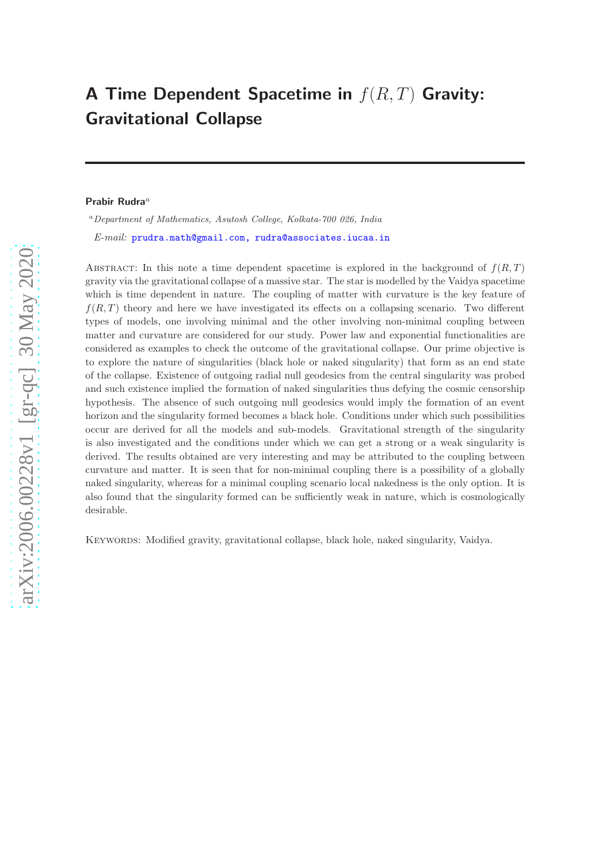# A Time Dependent Spacetime in  $f(R,T)$  Gravity: Gravitational Collapse

#### Prabir Rudra $a$

 $a<sup>a</sup> Department of Mathematics, Asutosh College, Kolkata-700 026, India$ E-mail: [prudra.math@gmail.com, rudra@associates.iucaa.in](mailto:prudra.math@gmail.com, rudra@associates.iucaa.in)

ABSTRACT: In this note a time dependent spacetime is explored in the background of  $f(R,T)$ gravity via the gravitational collapse of a massive star. The star is modelled by the Vaidya spacetime which is time dependent in nature. The coupling of matter with curvature is the key feature of  $f(R, T)$  theory and here we have investigated its effects on a collapsing scenario. Two different types of models, one involving minimal and the other involving non-minimal coupling between matter and curvature are considered for our study. Power law and exponential functionalities are considered as examples to check the outcome of the gravitational collapse. Our prime objective is to explore the nature of singularities (black hole or naked singularity) that form as an end state of the collapse. Existence of outgoing radial null geodesics from the central singularity was probed and such existence implied the formation of naked singularities thus defying the cosmic censorship hypothesis. The absence of such outgoing null geodesics would imply the formation of an event horizon and the singularity formed becomes a black hole. Conditions under which such possibilities occur are derived for all the models and sub-models. Gravitational strength of the singularity is also investigated and the conditions under which we can get a strong or a weak singularity is derived. The results obtained are very interesting and may be attributed to the coupling between curvature and matter. It is seen that for non-minimal coupling there is a possibility of a globally naked singularity, whereas for a minimal coupling scenario local nakedness is the only option. It is also found that the singularity formed can be sufficiently weak in nature, which is cosmologically desirable.

Keywords: Modified gravity, gravitational collapse, black hole, naked singularity, Vaidya.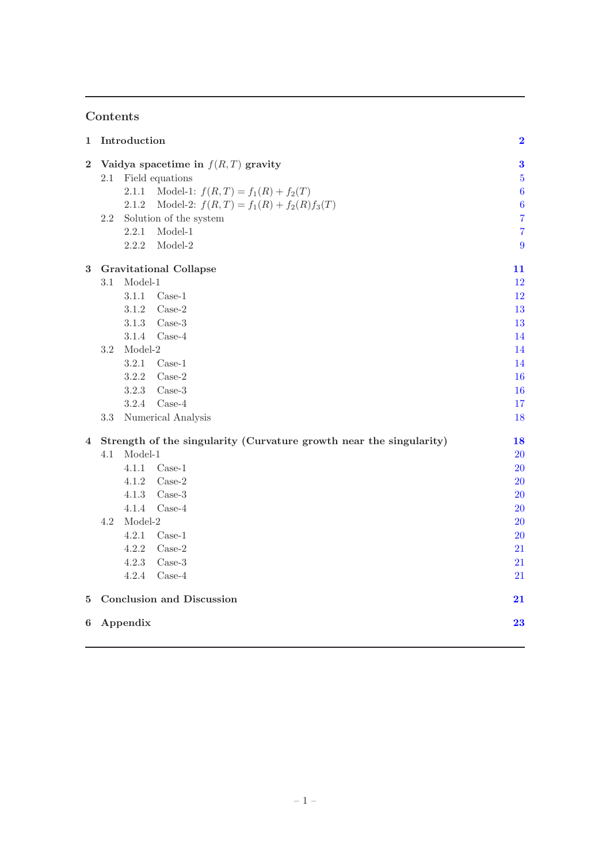# Contents

| $\mathbf{1}$   | Introduction                                                        |                                                    |                  |  |
|----------------|---------------------------------------------------------------------|----------------------------------------------------|------------------|--|
| $\bf{2}$       | Vaidya spacetime in $f(R,T)$ gravity                                |                                                    |                  |  |
|                | 2.1                                                                 | Field equations                                    | $\bf 5$          |  |
|                |                                                                     | Model-1: $f(R,T) = f_1(R) + f_2(T)$<br>2.1.1       | $\boldsymbol{6}$ |  |
|                |                                                                     | Model-2: $f(R,T) = f_1(R) + f_2(R)f_3(T)$<br>2.1.2 | $\boldsymbol{6}$ |  |
|                | 2.2                                                                 | Solution of the system                             | $\overline{7}$   |  |
|                |                                                                     | 2.2.1<br>$Model-1$                                 | $\overline{7}$   |  |
|                |                                                                     | 2.2.2<br>Model-2                                   | 9                |  |
| 3              | <b>Gravitational Collapse</b>                                       |                                                    |                  |  |
|                | 3.1                                                                 | $Model-1$                                          | 12               |  |
|                |                                                                     | 3.1.1<br>$Case-1$                                  | 12               |  |
|                |                                                                     | 3.1.2<br>$Case-2$                                  | 13               |  |
|                |                                                                     | 3.1.3<br>$Case-3$                                  | 13               |  |
|                |                                                                     | $Case-4$<br>3.1.4                                  | 14               |  |
|                | $3.2\,$                                                             | Model-2                                            | 14               |  |
|                |                                                                     | 3.2.1<br>$Case-1$                                  | 14               |  |
|                |                                                                     | 3.2.2<br>$Case-2$                                  | <b>16</b>        |  |
|                |                                                                     | 3.2.3<br>$Case-3$                                  | 16               |  |
|                |                                                                     | 3.2.4<br>$Case-4$                                  | 17               |  |
|                | 3.3                                                                 | Numerical Analysis                                 | 18               |  |
| $\overline{4}$ | Strength of the singularity (Curvature growth near the singularity) |                                                    |                  |  |
|                | 4.1                                                                 | $Model-1$                                          | $20\,$           |  |
|                |                                                                     | 4.1.1<br>$Case-1$                                  | $20\,$           |  |
|                |                                                                     | 4.1.2<br>$Case-2$                                  | <b>20</b>        |  |
|                |                                                                     | 4.1.3<br>$Case-3$                                  | <b>20</b>        |  |
|                |                                                                     | $Case-4$<br>4.1.4                                  | $20\,$           |  |
|                | 4.2                                                                 | $Model-2$                                          | <b>20</b>        |  |
|                |                                                                     | 4.2.1<br>$Case-1$                                  | <b>20</b>        |  |
|                |                                                                     | 4.2.2<br>$Case-2$                                  | 21               |  |
|                |                                                                     | 4.2.3<br>$Case-3$                                  | 21               |  |
|                |                                                                     | 4.2.4<br>$Case-4$                                  | 21               |  |
| $5^{\circ}$    | <b>Conclusion and Discussion</b><br>21                              |                                                    |                  |  |
| 6              |                                                                     | Appendix                                           | 23               |  |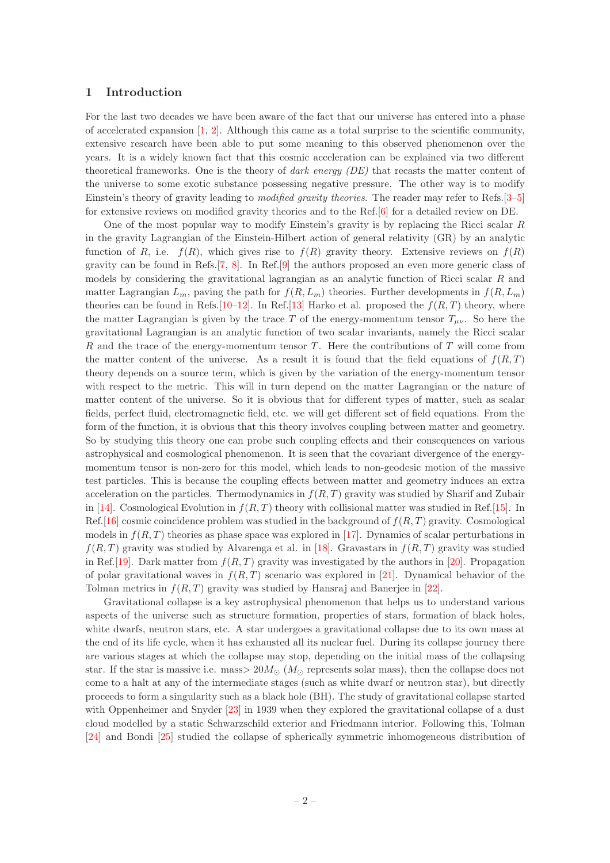#### <span id="page-2-0"></span>1 Introduction

For the last two decades we have been aware of the fact that our universe has entered into a phase of accelerated expansion  $[1, 2]$  $[1, 2]$  $[1, 2]$ . Although this came as a total surprise to the scientific community, extensive research have been able to put some meaning to this observed phenomenon over the years. It is a widely known fact that this cosmic acceleration can be explained via two different theoretical frameworks. One is the theory of dark energy (DE) that recasts the matter content of the universe to some exotic substance possessing negative pressure. The other way is to modify Einstein's theory of gravity leading to modified gravity theories. The reader may refer to Refs.[\[3](#page-24-2)[–5](#page-24-3)] for extensive reviews on modified gravity theories and to the Ref.[\[6](#page-24-4)] for a detailed review on DE.

One of the most popular way to modify Einstein's gravity is by replacing the Ricci scalar  $R$ in the gravity Lagrangian of the Einstein-Hilbert action of general relativity (GR) by an analytic function of R, i.e.  $f(R)$ , which gives rise to  $f(R)$  gravity theory. Extensive reviews on  $f(R)$ gravity can be found in Refs.[\[7,](#page-24-5) [8](#page-24-6)]. In Ref.[\[9](#page-24-7)] the authors proposed an even more generic class of models by considering the gravitational lagrangian as an analytic function of Ricci scalar R and matter Lagrangian  $L_m$ , paving the path for  $f(R, L_m)$  theories. Further developments in  $f(R, L_m)$ theories can be found in Refs.[\[10](#page-24-8)[–12\]](#page-24-9). In Ref.[\[13](#page-24-10)] Harko et al. proposed the  $f(R, T)$  theory, where the matter Lagrangian is given by the trace T of the energy-momentum tensor  $T_{\mu\nu}$ . So here the gravitational Lagrangian is an analytic function of two scalar invariants, namely the Ricci scalar R and the trace of the energy-momentum tensor  $T$ . Here the contributions of  $T$  will come from the matter content of the universe. As a result it is found that the field equations of  $f(R,T)$ theory depends on a source term, which is given by the variation of the energy-momentum tensor with respect to the metric. This will in turn depend on the matter Lagrangian or the nature of matter content of the universe. So it is obvious that for different types of matter, such as scalar fields, perfect fluid, electromagnetic field, etc. we will get different set of field equations. From the form of the function, it is obvious that this theory involves coupling between matter and geometry. So by studying this theory one can probe such coupling effects and their consequences on various astrophysical and cosmological phenomenon. It is seen that the covariant divergence of the energymomentum tensor is non-zero for this model, which leads to non-geodesic motion of the massive test particles. This is because the coupling effects between matter and geometry induces an extra acceleration on the particles. Thermodynamics in  $f(R, T)$  gravity was studied by Sharif and Zubair in [\[14](#page-24-11)]. Cosmological Evolution in  $f(R, T)$  theory with collisional matter was studied in Ref.[\[15](#page-24-12)]. In Ref. [\[16\]](#page-24-13) cosmic coincidence problem was studied in the background of  $f(R, T)$  gravity. Cosmological models in  $f(R, T)$  theories as phase space was explored in [\[17\]](#page-24-14). Dynamics of scalar perturbations in  $f(R,T)$  gravity was studied by Alvarenga et al. in [\[18\]](#page-24-15). Gravastars in  $f(R,T)$  gravity was studied in Ref.[\[19\]](#page-25-0). Dark matter from  $f(R, T)$  gravity was investigated by the authors in [\[20\]](#page-25-1). Propagation of polar gravitational waves in  $f(R, T)$  scenario was explored in [\[21\]](#page-25-2). Dynamical behavior of the Tolman metrics in  $f(R, T)$  gravity was studied by Hansraj and Banerjee in [\[22\]](#page-25-3).

Gravitational collapse is a key astrophysical phenomenon that helps us to understand various aspects of the universe such as structure formation, properties of stars, formation of black holes, white dwarfs, neutron stars, etc. A star undergoes a gravitational collapse due to its own mass at the end of its life cycle, when it has exhausted all its nuclear fuel. During its collapse journey there are various stages at which the collapse may stop, depending on the initial mass of the collapsing star. If the star is massive i.e. mass  $> 20M_{\odot}$  ( $M_{\odot}$  represents solar mass), then the collapse does not come to a halt at any of the intermediate stages (such as white dwarf or neutron star), but directly proceeds to form a singularity such as a black hole (BH). The study of gravitational collapse started with Oppenheimer and Snyder [\[23\]](#page-25-4) in 1939 when they explored the gravitational collapse of a dust cloud modelled by a static Schwarzschild exterior and Friedmann interior. Following this, Tolman [\[24](#page-25-5)] and Bondi [\[25\]](#page-25-6) studied the collapse of spherically symmetric inhomogeneous distribution of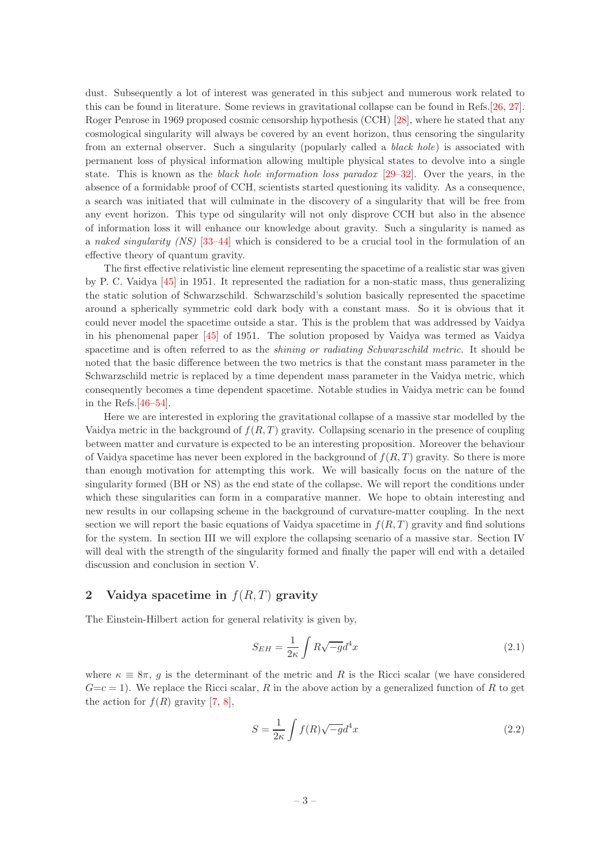dust. Subsequently a lot of interest was generated in this subject and numerous work related to this can be found in literature. Some reviews in gravitational collapse can be found in Refs.[\[26,](#page-25-7) [27\]](#page-25-8). Roger Penrose in 1969 proposed cosmic censorship hypothesis (CCH) [\[28\]](#page-25-9), where he stated that any cosmological singularity will always be covered by an event horizon, thus censoring the singularity from an external observer. Such a singularity (popularly called a *black hole*) is associated with permanent loss of physical information allowing multiple physical states to devolve into a single state. This is known as the black hole information loss paradox [\[29](#page-25-10)[–32\]](#page-25-11). Over the years, in the absence of a formidable proof of CCH, scientists started questioning its validity. As a consequence, a search was initiated that will culminate in the discovery of a singularity that will be free from any event horizon. This type od singularity will not only disprove CCH but also in the absence of information loss it will enhance our knowledge about gravity. Such a singularity is named as a naked singularity (NS) [\[33](#page-25-12)[–44\]](#page-25-13) which is considered to be a crucial tool in the formulation of an effective theory of quantum gravity.

The first effective relativistic line element representing the spacetime of a realistic star was given by P. C. Vaidya [\[45\]](#page-25-14) in 1951. It represented the radiation for a non-static mass, thus generalizing the static solution of Schwarzschild. Schwarzschild's solution basically represented the spacetime around a spherically symmetric cold dark body with a constant mass. So it is obvious that it could never model the spacetime outside a star. This is the problem that was addressed by Vaidya in his phenomenal paper [\[45\]](#page-25-14) of 1951. The solution proposed by Vaidya was termed as Vaidya spacetime and is often referred to as the *shining or radiating Schwarzschild metric*. It should be noted that the basic difference between the two metrics is that the constant mass parameter in the Schwarzschild metric is replaced by a time dependent mass parameter in the Vaidya metric, which consequently becomes a time dependent spacetime. Notable studies in Vaidya metric can be found in the Refs.[\[46](#page-25-15)[–54\]](#page-25-16).

Here we are interested in exploring the gravitational collapse of a massive star modelled by the Vaidya metric in the background of  $f(R, T)$  gravity. Collapsing scenario in the presence of coupling between matter and curvature is expected to be an interesting proposition. Moreover the behaviour of Vaidya spacetime has never been explored in the background of  $f(R,T)$  gravity. So there is more than enough motivation for attempting this work. We will basically focus on the nature of the singularity formed (BH or NS) as the end state of the collapse. We will report the conditions under which these singularities can form in a comparative manner. We hope to obtain interesting and new results in our collapsing scheme in the background of curvature-matter coupling. In the next section we will report the basic equations of Vaidya spacetime in  $f(R, T)$  gravity and find solutions for the system. In section III we will explore the collapsing scenario of a massive star. Section IV will deal with the strength of the singularity formed and finally the paper will end with a detailed discussion and conclusion in section V.

# <span id="page-3-0"></span>2 Vaidya spacetime in  $f(R,T)$  gravity

The Einstein-Hilbert action for general relativity is given by,

$$
S_{EH} = \frac{1}{2\kappa} \int R\sqrt{-g}d^4x \tag{2.1}
$$

where  $\kappa \equiv 8\pi$ , g is the determinant of the metric and R is the Ricci scalar (we have considered  $G=c=1$ ). We replace the Ricci scalar, R in the above action by a generalized function of R to get the action for  $f(R)$  gravity [\[7,](#page-24-5) [8\]](#page-24-6),

<span id="page-3-1"></span>
$$
S = \frac{1}{2\kappa} \int f(R)\sqrt{-g}d^4x \tag{2.2}
$$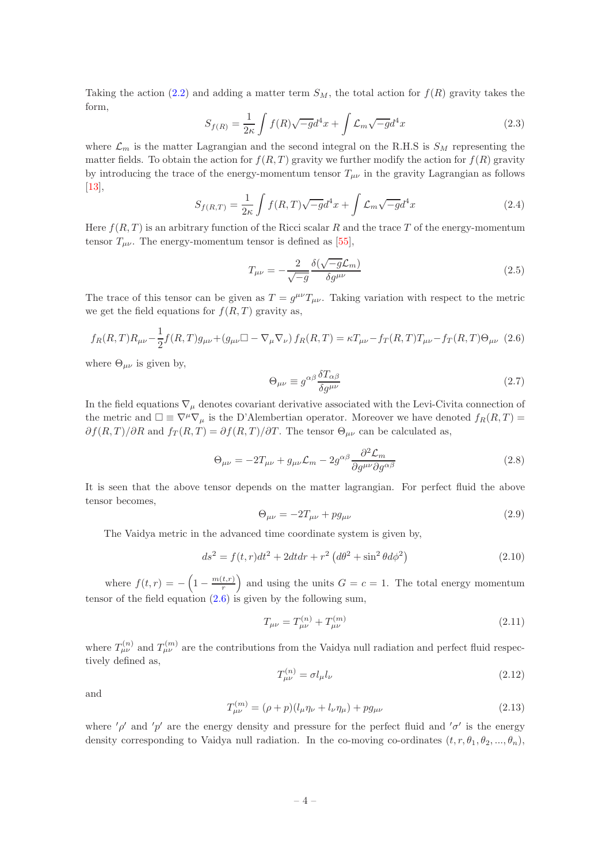Taking the action [\(2.2\)](#page-3-1) and adding a matter term  $S_M$ , the total action for  $f(R)$  gravity takes the form,

$$
S_{f(R)} = \frac{1}{2\kappa} \int f(R)\sqrt{-g}d^4x + \int \mathcal{L}_m \sqrt{-g}d^4x \tag{2.3}
$$

where  $\mathcal{L}_m$  is the matter Lagrangian and the second integral on the R.H.S is  $S_M$  representing the matter fields. To obtain the action for  $f(R, T)$  gravity we further modify the action for  $f(R)$  gravity by introducing the trace of the energy-momentum tensor  $T_{\mu\nu}$  in the gravity Lagrangian as follows [\[13](#page-24-10)],

$$
S_{f(R,T)} = \frac{1}{2\kappa} \int f(R,T)\sqrt{-g}d^4x + \int \mathcal{L}_m \sqrt{-g}d^4x \tag{2.4}
$$

Here  $f(R, T)$  is an arbitrary function of the Ricci scalar R and the trace T of the energy-momentum tensor  $T_{\mu\nu}$ . The energy-momentum tensor is defined as [\[55](#page-25-17)],

$$
T_{\mu\nu} = -\frac{2}{\sqrt{-g}} \frac{\delta(\sqrt{-g}\mathcal{L}_m)}{\delta g^{\mu\nu}} \tag{2.5}
$$

The trace of this tensor can be given as  $T = g^{\mu\nu}T_{\mu\nu}$ . Taking variation with respect to the metric we get the field equations for  $f(R,T)$  gravity as,

<span id="page-4-0"></span>
$$
f_R(R,T)R_{\mu\nu} - \frac{1}{2}f(R,T)g_{\mu\nu} + (g_{\mu\nu}\Box - \nabla_{\mu}\nabla_{\nu})f_R(R,T) = \kappa T_{\mu\nu} - f_T(R,T)T_{\mu\nu} - f_T(R,T)\Theta_{\mu\nu}
$$
 (2.6)

where  $\Theta_{\mu\nu}$  is given by,

$$
\Theta_{\mu\nu} \equiv g^{\alpha\beta} \frac{\delta T_{\alpha\beta}}{\delta g^{\mu\nu}} \tag{2.7}
$$

In the field equations  $\nabla_{\mu}$  denotes covariant derivative associated with the Levi-Civita connection of the metric and  $\Box \equiv \nabla^{\mu} \nabla_{\mu}$  is the D'Alembertian operator. Moreover we have denoted  $f_R(R,T)$  $\partial f(R,T)/\partial R$  and  $f_T(R,T) = \partial f(R,T)/\partial T$ . The tensor  $\Theta_{\mu\nu}$  can be calculated as,

$$
\Theta_{\mu\nu} = -2T_{\mu\nu} + g_{\mu\nu}\mathcal{L}_m - 2g^{\alpha\beta}\frac{\partial^2 \mathcal{L}_m}{\partial g^{\mu\nu}\partial g^{\alpha\beta}}\tag{2.8}
$$

It is seen that the above tensor depends on the matter lagrangian. For perfect fluid the above tensor becomes,

$$
\Theta_{\mu\nu} = -2T_{\mu\nu} + pg_{\mu\nu} \tag{2.9}
$$

The Vaidya metric in the advanced time coordinate system is given by,

<span id="page-4-1"></span>
$$
ds^{2} = f(t, r)dt^{2} + 2dt dr + r^{2} (d\theta^{2} + \sin^{2} \theta d\phi^{2})
$$
\n(2.10)

where  $f(t,r) = -\left(1 - \frac{m(t,r)}{r}\right)$  $\left(\frac{t,r}{r}\right)$  and using the units  $G = c = 1$ . The total energy momentum tensor of the field equation [\(2.6\)](#page-4-0) is given by the following sum,

$$
T_{\mu\nu} = T_{\mu\nu}^{(n)} + T_{\mu\nu}^{(m)} \tag{2.11}
$$

where  $T^{(n)}_{\mu\nu}$  and  $T^{(m)}_{\mu\nu}$  are the contributions from the Vaidya null radiation and perfect fluid respectively defined as,

$$
T_{\mu\nu}^{(n)} = \sigma l_{\mu} l_{\nu} \tag{2.12}
$$

and

$$
T_{\mu\nu}^{(m)} = (\rho + p)(l_{\mu}\eta_{\nu} + l_{\nu}\eta_{\mu}) + pg_{\mu\nu}
$$
\n(2.13)

where ' $\rho'$  and 'p' are the energy density and pressure for the perfect fluid and ' $\sigma'$  is the energy density corresponding to Vaidya null radiation. In the co-moving co-ordinates  $(t, r, \theta_1, \theta_2, ..., \theta_n)$ ,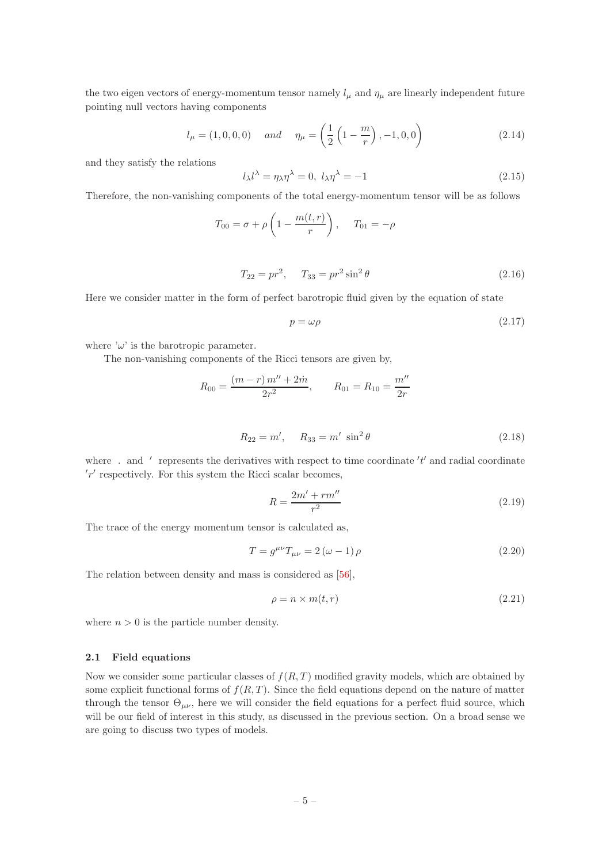the two eigen vectors of energy-momentum tensor namely  $l_{\mu}$  and  $\eta_{\mu}$  are linearly independent future pointing null vectors having components

$$
l_{\mu} = (1, 0, 0, 0) \quad \text{and} \quad \eta_{\mu} = \left(\frac{1}{2}\left(1 - \frac{m}{r}\right), -1, 0, 0\right) \tag{2.14}
$$

and they satisfy the relations

$$
l_{\lambda}l^{\lambda} = \eta_{\lambda}\eta^{\lambda} = 0, l_{\lambda}\eta^{\lambda} = -1
$$
\n(2.15)

Therefore, the non-vanishing components of the total energy-momentum tensor will be as follows

<span id="page-5-1"></span>
$$
T_{00} = \sigma + \rho \left( 1 - \frac{m(t, r)}{r} \right), \quad T_{01} = -\rho
$$
  

$$
T_{22} = pr^2, \quad T_{33} = pr^2 \sin^2 \theta
$$
 (2.16)

Here we consider matter in the form of perfect barotropic fluid given by the equation of state

<span id="page-5-2"></span>
$$
p = \omega \rho \tag{2.17}
$$

where ' $\omega$ ' is the barotropic parameter.

The non-vanishing components of the Ricci tensors are given by,

$$
R_{00} = \frac{(m-r) m'' + 2\dot{m}}{2r^2}, \qquad R_{01} = R_{10} = \frac{m''}{2r}
$$

<span id="page-5-3"></span>
$$
R_{22} = m', \quad R_{33} = m' \sin^2 \theta \tag{2.18}
$$

where  $\therefore$  and  $\prime$  represents the derivatives with respect to time coordinate  $'t'$  and radial coordinate  $'r'$  respectively. For this system the Ricci scalar becomes,

<span id="page-5-4"></span>
$$
R = \frac{2m' + rm''}{r^2}
$$
\n(2.19)

The trace of the energy momentum tensor is calculated as,

$$
T = g^{\mu\nu} T_{\mu\nu} = 2 \left(\omega - 1\right) \rho \tag{2.20}
$$

The relation between density and mass is considered as [\[56\]](#page-26-0),

$$
\rho = n \times m(t, r) \tag{2.21}
$$

where  $n > 0$  is the particle number density.

## <span id="page-5-0"></span>2.1 Field equations

Now we consider some particular classes of  $f(R,T)$  modified gravity models, which are obtained by some explicit functional forms of  $f(R, T)$ . Since the field equations depend on the nature of matter through the tensor  $\Theta_{\mu\nu}$ , here we will consider the field equations for a perfect fluid source, which will be our field of interest in this study, as discussed in the previous section. On a broad sense we are going to discuss two types of models.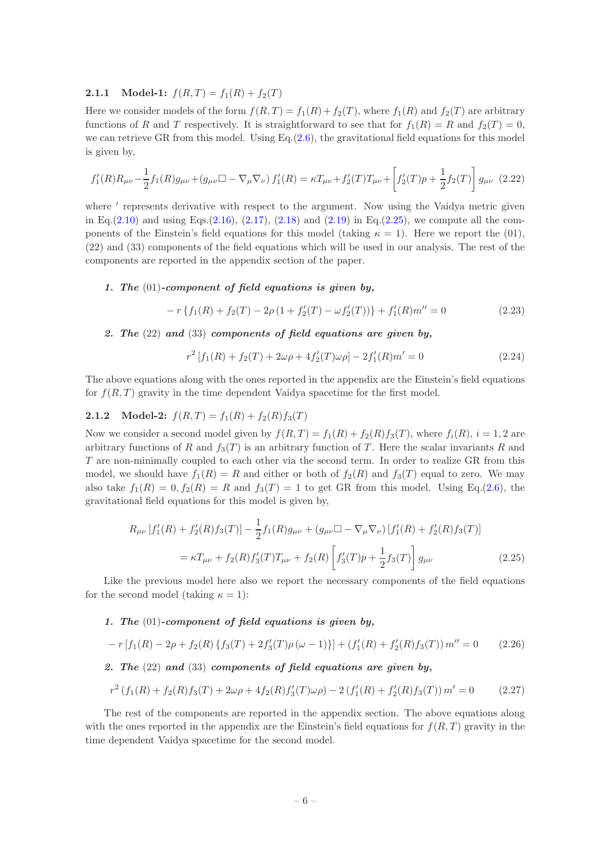## <span id="page-6-0"></span>**2.1.1** Model-1:  $f(R, T) = f_1(R) + f_2(T)$

Here we consider models of the form  $f(R, T) = f_1(R) + f_2(T)$ , where  $f_1(R)$  and  $f_2(T)$  are arbitrary functions of R and T respectively. It is straightforward to see that for  $f_1(R) = R$  and  $f_2(T) = 0$ , we can retrieve GR from this model. Using  $Eq.(2.6)$  $Eq.(2.6)$ , the gravitational field equations for this model is given by,

$$
f'_{1}(R)R_{\mu\nu} - \frac{1}{2}f_{1}(R)g_{\mu\nu} + (g_{\mu\nu}\Box - \nabla_{\mu}\nabla_{\nu})f'_{1}(R) = \kappa T_{\mu\nu} + f'_{2}(T)T_{\mu\nu} + \left[f'_{2}(T)p + \frac{1}{2}f_{2}(T)\right]g_{\mu\nu}
$$
(2.22)

where ' represents derivative with respect to the argument. Now using the Vaidya metric given in Eq.[\(2.10\)](#page-4-1) and using Eqs.[\(2.16\)](#page-5-1), [\(2.17\)](#page-5-2), [\(2.18\)](#page-5-3) and [\(2.19\)](#page-5-4) in Eq.[\(2.25\)](#page-6-2), we compute all the components of the Einstein's field equations for this model (taking  $\kappa = 1$ ). Here we report the (01), (22) and (33) components of the field equations which will be used in our analysis. The rest of the components are reported in the appendix section of the paper.

## 1. The (01)-component of field equations is given by,

$$
-r\left\{f_1(R) + f_2(T) - 2\rho\left(1 + f_2'(T) - \omega f_2'(T)\right)\right\} + f_1'(R)m'' = 0\tag{2.23}
$$

## 2. The  $(22)$  and  $(33)$  components of field equations are given by,

$$
r^{2}[f_{1}(R) + f_{2}(T) + 2\omega\rho + 4f'_{2}(T)\omega\rho] - 2f'_{1}(R)m' = 0
$$
\n(2.24)

The above equations along with the ones reported in the appendix are the Einstein's field equations for  $f(R,T)$  gravity in the time dependent Vaidya spacetime for the first model.

# <span id="page-6-1"></span>**2.1.2** Model-2:  $f(R,T) = f_1(R) + f_2(R)f_3(T)$

Now we consider a second model given by  $f(R,T) = f_1(R) + f_2(R)f_3(T)$ , where  $f_i(R)$ ,  $i = 1, 2$  are arbitrary functions of R and  $f_3(T)$  is an arbitrary function of T. Here the scalar invariants R and T are non-minimally coupled to each other via the second term. In order to realize GR from this model, we should have  $f_1(R) = R$  and either or both of  $f_2(R)$  and  $f_3(T)$  equal to zero. We may also take  $f_1(R) = 0, f_2(R) = R$  and  $f_3(T) = 1$  to get GR from this model. Using Eq.[\(2.6\)](#page-4-0), the gravitational field equations for this model is given by,

<span id="page-6-2"></span>
$$
R_{\mu\nu} [f'_1(R) + f'_2(R)f_3(T)] - \frac{1}{2}f_1(R)g_{\mu\nu} + (g_{\mu\nu}\Box - \nabla_{\mu}\nabla_{\nu})[f'_1(R) + f'_2(R)f_3(T)]
$$
  

$$
= \kappa T_{\mu\nu} + f_2(R)f'_3(T)T_{\mu\nu} + f_2(R)\left[f'_3(T)p + \frac{1}{2}f_3(T)\right]g_{\mu\nu}
$$
(2.25)

Like the previous model here also we report the necessary components of the field equations for the second model (taking  $\kappa = 1$ ):

# 1. The (01)-component of field equations is given by,

$$
-r[f_1(R) - 2\rho + f_2(R) \{f_3(T) + 2f'_3(T)\rho(\omega - 1)\}]+ (f'_1(R) + f'_2(R)f_3(T)) m'' = 0 \qquad (2.26)
$$

# 2. The  $(22)$  and  $(33)$  components of field equations are given by,

$$
r^{2}(f_{1}(R) + f_{2}(R)f_{3}(T) + 2\omega\rho + 4f_{2}(R)f'_{3}(T)\omega\rho) - 2(f'_{1}(R) + f'_{2}(R)f_{3}(T))m' = 0
$$
\n(2.27)

The rest of the components are reported in the appendix section. The above equations along with the ones reported in the appendix are the Einstein's field equations for  $f(R,T)$  gravity in the time dependent Vaidya spacetime for the second model.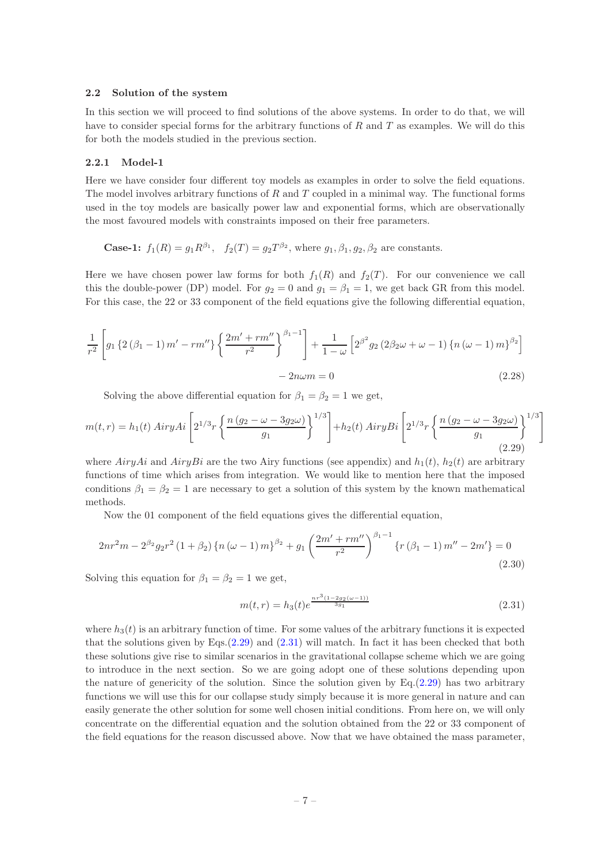#### <span id="page-7-0"></span>2.2 Solution of the system

In this section we will proceed to find solutions of the above systems. In order to do that, we will have to consider special forms for the arbitrary functions of  $R$  and  $T$  as examples. We will do this for both the models studied in the previous section.

#### <span id="page-7-1"></span>2.2.1 Model-1

Here we have consider four different toy models as examples in order to solve the field equations. The model involves arbitrary functions of  $R$  and  $T$  coupled in a minimal way. The functional forms used in the toy models are basically power law and exponential forms, which are observationally the most favoured models with constraints imposed on their free parameters.

**Case-1:**  $f_1(R) = g_1 R^{\beta_1}$ ,  $f_2(T) = g_2 T^{\beta_2}$ , where  $g_1, \beta_1, g_2, \beta_2$  are constants.

Here we have chosen power law forms for both  $f_1(R)$  and  $f_2(T)$ . For our convenience we call this the double-power (DP) model. For  $g_2 = 0$  and  $g_1 = \beta_1 = 1$ , we get back GR from this model. For this case, the 22 or 33 component of the field equations give the following differential equation,

$$
\frac{1}{r^2} \left[ g_1 \left\{ 2 \left( \beta_1 - 1 \right) m' - r m'' \right\} \left\{ \frac{2m' + r m''}{r^2} \right\}^{\beta_1 - 1} \right] + \frac{1}{1 - \omega} \left[ 2^{\beta^2} g_2 \left( 2\beta_2 \omega + \omega - 1 \right) \left\{ n \left( \omega - 1 \right) m \right\}^{\beta_2} \right]
$$

$$
- 2n\omega m = 0 \tag{2.28}
$$

Solving the above differential equation for  $\beta_1 = \beta_2 = 1$  we get,

<span id="page-7-2"></span>
$$
m(t,r) = h_1(t) AiryAi\left[2^{1/3}r\left\{\frac{n(g_2 - \omega - 3g_2\omega)}{g_1}\right\}^{1/3}\right] + h_2(t) AiryBi\left[2^{1/3}r\left\{\frac{n(g_2 - \omega - 3g_2\omega)}{g_1}\right\}^{1/3}\right]
$$
(2.29)

where  $AiryAi$  and  $AiryBi$  are the two Airy functions (see appendix) and  $h_1(t)$ ,  $h_2(t)$  are arbitrary functions of time which arises from integration. We would like to mention here that the imposed conditions  $\beta_1 = \beta_2 = 1$  are necessary to get a solution of this system by the known mathematical methods.

Now the 01 component of the field equations gives the differential equation,

$$
2nr^{2}m - 2^{\beta_{2}}g_{2}r^{2}\left(1+\beta_{2}\right)\left\{n\left(\omega-1\right)m\right\}^{\beta_{2}} + g_{1}\left(\frac{2m'+rm''}{r^{2}}\right)^{\beta_{1}-1}\left\{r\left(\beta_{1}-1\right)m'' - 2m'\right\} = 0\tag{2.30}
$$

Solving this equation for  $\beta_1 = \beta_2 = 1$  we get,

<span id="page-7-3"></span>
$$
m(t,r) = h_3(t)e^{\frac{nr^3(1-2g_2(\omega-1))}{3g_1}}
$$
\n(2.31)

where  $h_3(t)$  is an arbitrary function of time. For some values of the arbitrary functions it is expected that the solutions given by Eqs. $(2.29)$  and  $(2.31)$  will match. In fact it has been checked that both these solutions give rise to similar scenarios in the gravitational collapse scheme which we are going to introduce in the next section. So we are going adopt one of these solutions depending upon the nature of genericity of the solution. Since the solution given by Eq. $(2.29)$  has two arbitrary functions we will use this for our collapse study simply because it is more general in nature and can easily generate the other solution for some well chosen initial conditions. From here on, we will only concentrate on the differential equation and the solution obtained from the 22 or 33 component of the field equations for the reason discussed above. Now that we have obtained the mass parameter,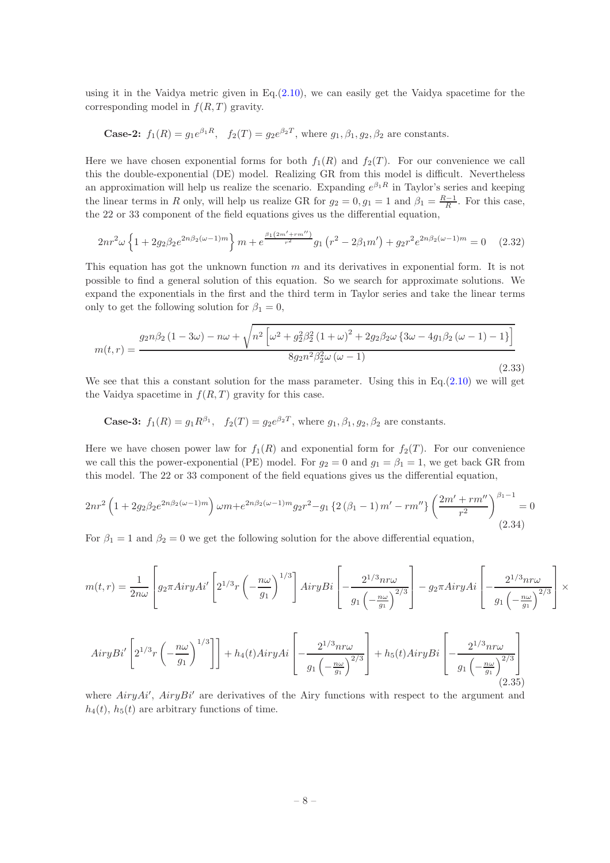using it in the Vaidya metric given in  $Eq.(2.10)$  $Eq.(2.10)$ , we can easily get the Vaidya spacetime for the corresponding model in  $f(R,T)$  gravity.

**Case-2:** 
$$
f_1(R) = g_1 e^{\beta_1 R}
$$
,  $f_2(T) = g_2 e^{\beta_2 T}$ , where  $g_1, \beta_1, g_2, \beta_2$  are constants.

Here we have chosen exponential forms for both  $f_1(R)$  and  $f_2(T)$ . For our convenience we call this the double-exponential (DE) model. Realizing GR from this model is difficult. Nevertheless an approximation will help us realize the scenario. Expanding  $e^{\beta_1 R}$  in Taylor's series and keeping the linear terms in R only, will help us realize GR for  $g_2 = 0, g_1 = 1$  and  $\beta_1 = \frac{R-1}{R}$ . For this case, the 22 or 33 component of the field equations gives us the differential equation,

$$
2nr^{2}\omega\left\{1+2g_{2}\beta_{2}e^{2n\beta_{2}(\omega-1)m}\right\}m+e^{\frac{\beta_{1}(2m'+rm'')}{r^{2}}}g_{1}\left(r^{2}-2\beta_{1}m'\right)+g_{2}r^{2}e^{2n\beta_{2}(\omega-1)m}=0\tag{2.32}
$$

This equation has got the unknown function  $m$  and its derivatives in exponential form. It is not possible to find a general solution of this equation. So we search for approximate solutions. We expand the exponentials in the first and the third term in Taylor series and take the linear terms only to get the following solution for  $\beta_1 = 0$ ,

<span id="page-8-0"></span>
$$
m(t,r) = \frac{g_2 n \beta_2 (1 - 3\omega) - n\omega + \sqrt{n^2 \left[\omega^2 + g_2^2 \beta_2^2 (1 + \omega)^2 + 2g_2 \beta_2 \omega \left\{3\omega - 4g_1 \beta_2 (\omega - 1) - 1\right\}\right]}}{8g_2 n^2 \beta_2^2 \omega (\omega - 1)}
$$
(2.33)

We see that this a constant solution for the mass parameter. Using this in Eq. $(2.10)$  we will get the Vaidya spacetime in  $f(R, T)$  gravity for this case.

**Case-3:** 
$$
f_1(R) = g_1 R^{\beta_1}
$$
,  $f_2(T) = g_2 e^{\beta_2 T}$ , where  $g_1, \beta_1, g_2, \beta_2$  are constants.

Here we have chosen power law for  $f_1(R)$  and exponential form for  $f_2(T)$ . For our convenience we call this the power-exponential (PE) model. For  $g_2 = 0$  and  $g_1 = \beta_1 = 1$ , we get back GR from this model. The 22 or 33 component of the field equations gives us the differential equation,

$$
2nr^{2}\left(1+2g_{2}\beta_{2}e^{2n\beta_{2}(\omega-1)m}\right)\omega m + e^{2n\beta_{2}(\omega-1)m}g_{2}r^{2} - g_{1}\left\{2\left(\beta_{1}-1\right)m'-rm''\right\}\left(\frac{2m'+rm''}{r^{2}}\right)^{\beta_{1}-1} = 0
$$
\n(2.34)

For  $\beta_1 = 1$  and  $\beta_2 = 0$  we get the following solution for the above differential equation,

$$
m(t,r) = \frac{1}{2n\omega} \left[ g_2 \pi A i r y A i' \left[ 2^{1/3} r \left( -\frac{n\omega}{g_1} \right)^{1/3} \right] Airy Bi \left[ -\frac{2^{1/3} n r \omega}{g_1 \left( -\frac{n\omega}{g_1} \right)^{2/3}} \right] - g_2 \pi Airy Ai \left[ -\frac{2^{1/3} n r \omega}{g_1 \left( -\frac{n\omega}{g_1} \right)^{2/3}} \right] \times
$$

<span id="page-8-1"></span>
$$
Airy Bi'\left[2^{1/3}r\left(-\frac{n\omega}{g_1}\right)^{1/3}\right]\right] + h_4(t) Airy Ai\left[-\frac{2^{1/3}nr\omega}{g_1\left(-\frac{n\omega}{g_1}\right)^{2/3}}\right] + h_5(t) Airy Bi\left[-\frac{2^{1/3}nr\omega}{g_1\left(-\frac{n\omega}{g_1}\right)^{2/3}}\right]
$$
\n(2.35)

where  $AiryAi'$ ,  $AiryBi'$  are derivatives of the Airy functions with respect to the argument and  $h_4(t)$ ,  $h_5(t)$  are arbitrary functions of time.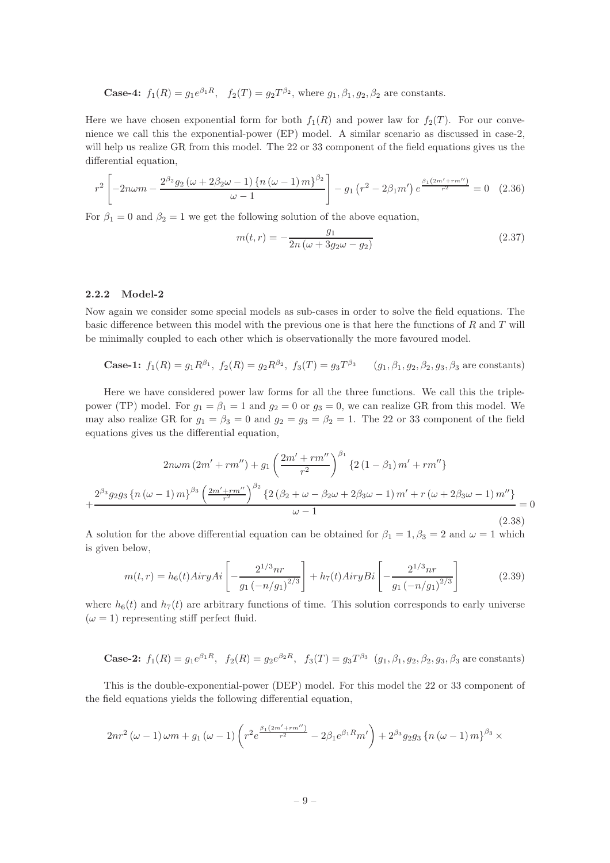**Case-4:**  $f_1(R) = g_1 e^{\beta_1 R}$ ,  $f_2(T) = g_2 T^{\beta_2}$ , where  $g_1, \beta_1, g_2, \beta_2$  are constants.

Here we have chosen exponential form for both  $f_1(R)$  and power law for  $f_2(T)$ . For our convenience we call this the exponential-power (EP) model. A similar scenario as discussed in case-2, will help us realize GR from this model. The 22 or 33 component of the field equations gives us the differential equation,

$$
r^{2}\left[-2n\omega m-\frac{2^{\beta_{2}}g_{2}\left(\omega+2\beta_{2}\omega-1\right)\left\{ n\left(\omega-1\right)m\right\} ^{\beta_{2}}}{\omega-1}\right]-g_{1}\left(r^{2}-2\beta_{1}m'\right)e^{\frac{\beta_{1}\left(2m'+rm''\right)}{r^{2}}}=0\quad(2.36)
$$

For  $\beta_1 = 0$  and  $\beta_2 = 1$  we get the following solution of the above equation,

<span id="page-9-1"></span>
$$
m(t,r) = -\frac{g_1}{2n\left(\omega + 3g_2\omega - g_2\right)}\tag{2.37}
$$

#### <span id="page-9-0"></span>2.2.2 Model-2

Now again we consider some special models as sub-cases in order to solve the field equations. The basic difference between this model with the previous one is that here the functions of  $R$  and  $T$  will be minimally coupled to each other which is observationally the more favoured model.

Case-1: 
$$
f_1(R) = g_1 R^{\beta_1}
$$
,  $f_2(R) = g_2 R^{\beta_2}$ ,  $f_3(T) = g_3 T^{\beta_3}$   $(g_1, \beta_1, g_2, \beta_2, g_3, \beta_3$  are constants)

Here we have considered power law forms for all the three functions. We call this the triplepower (TP) model. For  $g_1 = \beta_1 = 1$  and  $g_2 = 0$  or  $g_3 = 0$ , we can realize GR from this model. We may also realize GR for  $g_1 = \beta_3 = 0$  and  $g_2 = g_3 = \beta_2 = 1$ . The 22 or 33 component of the field equations gives us the differential equation,

$$
2n\omega m (2m' + rm'') + g_1 \left(\frac{2m' + rm''}{r^2}\right)^{\beta_1} \{2(1 - \beta_1) m' + rm''\} + \frac{2^{\beta_3} g_2 g_3 \{n(\omega - 1) m\}^{\beta_3} \left(\frac{2m' + rm''}{r^2}\right)^{\beta_2} \{2(\beta_2 + \omega - \beta_2 \omega + 2\beta_3 \omega - 1) m' + r(\omega + 2\beta_3 \omega - 1) m''\}}{\omega - 1} = 0
$$
\n(2.38)

A solution for the above differential equation can be obtained for  $\beta_1 = 1, \beta_3 = 2$  and  $\omega = 1$  which is given below,

<span id="page-9-2"></span>
$$
m(t,r) = h_6(t)AiryAi\left[-\frac{2^{1/3}nr}{g_1\left(-n/g_1\right)^{2/3}}\right] + h_7(t)AiryBi\left[-\frac{2^{1/3}nr}{g_1\left(-n/g_1\right)^{2/3}}\right]
$$
(2.39)

where  $h_6(t)$  and  $h_7(t)$  are arbitrary functions of time. This solution corresponds to early universe  $(\omega = 1)$  representing stiff perfect fluid.

**Case-2:** 
$$
f_1(R) = g_1 e^{\beta_1 R}
$$
,  $f_2(R) = g_2 e^{\beta_2 R}$ ,  $f_3(T) = g_3 T^{\beta_3}$   $(g_1, \beta_1, g_2, \beta_2, g_3, \beta_3)$  are constants)

This is the double-exponential-power (DEP) model. For this model the 22 or 33 component of the field equations yields the following differential equation,

$$
2nr^{2} (\omega - 1) \omega m + g_{1} (\omega - 1) \left( r^{2} e^{\frac{\beta_{1} (2m' + rm'')}{r^{2}}} - 2\beta_{1} e^{\beta_{1} R} m' \right) + 2^{\beta_{3}} g_{2} g_{3} \left\{ n (\omega - 1) m \right\}^{\beta_{3}} \times
$$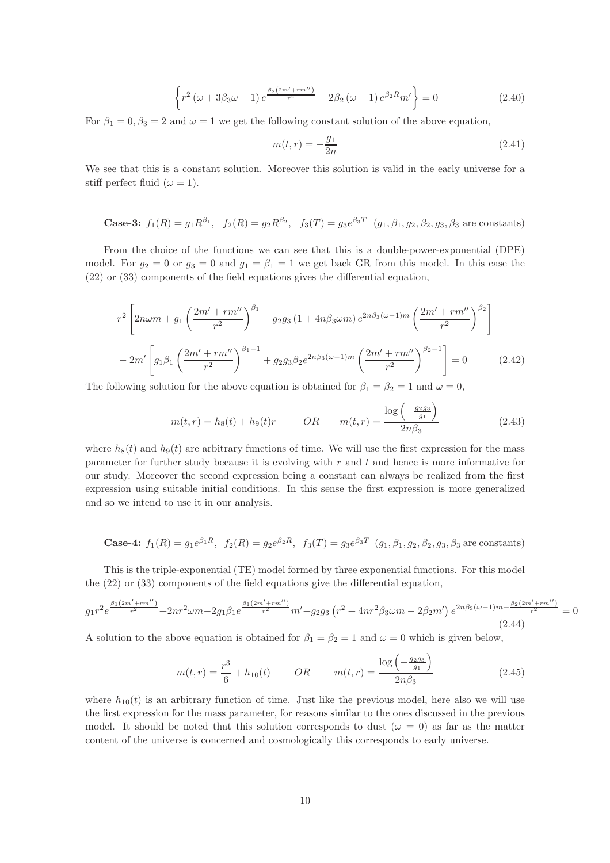$$
\left\{ r^2 \left( \omega + 3\beta_3 \omega - 1 \right) e^{\frac{\beta_2 \left( 2m' + rm'' \right)}{r^2}} - 2\beta_2 \left( \omega - 1 \right) e^{\beta_2 R} m' \right\} = 0 \tag{2.40}
$$

For  $\beta_1 = 0$ ,  $\beta_3 = 2$  and  $\omega = 1$  we get the following constant solution of the above equation,

<span id="page-10-0"></span>
$$
m(t,r) = -\frac{g_1}{2n} \tag{2.41}
$$

We see that this is a constant solution. Moreover this solution is valid in the early universe for a stiff perfect fluid ( $\omega = 1$ ).

**Case-3:** 
$$
f_1(R) = g_1 R^{\beta_1}
$$
,  $f_2(R) = g_2 R^{\beta_2}$ ,  $f_3(T) = g_3 e^{\beta_3 T}$   $(g_1, \beta_1, g_2, \beta_2, g_3, \beta_3$  are constants)

From the choice of the functions we can see that this is a double-power-exponential (DPE) model. For  $g_2 = 0$  or  $g_3 = 0$  and  $g_1 = \beta_1 = 1$  we get back GR from this model. In this case the (22) or (33) components of the field equations gives the differential equation,

$$
r^{2}\left[2n\omega m+g_{1}\left(\frac{2m'+rm''}{r^{2}}\right)^{\beta_{1}}+g_{2}g_{3}\left(1+4n\beta_{3}\omega m\right)e^{2n\beta_{3}(\omega-1)m}\left(\frac{2m'+rm''}{r^{2}}\right)^{\beta_{2}}\right]
$$

$$
-2m'\left[g_{1}\beta_{1}\left(\frac{2m'+rm''}{r^{2}}\right)^{\beta_{1}-1}+g_{2}g_{3}\beta_{2}e^{2n\beta_{3}(\omega-1)m}\left(\frac{2m'+rm''}{r^{2}}\right)^{\beta_{2}-1}\right]=0
$$
(2.42)

The following solution for the above equation is obtained for  $\beta_1 = \beta_2 = 1$  and  $\omega = 0$ ,

<span id="page-10-1"></span>
$$
m(t,r) = h_8(t) + h_9(t)r
$$
 OR  $m(t,r) = \frac{\log\left(-\frac{g_2 g_3}{g_1}\right)}{2n\beta_3}$  (2.43)

where  $h_8(t)$  and  $h_9(t)$  are arbitrary functions of time. We will use the first expression for the mass parameter for further study because it is evolving with  $r$  and  $t$  and hence is more informative for our study. Moreover the second expression being a constant can always be realized from the first expression using suitable initial conditions. In this sense the first expression is more generalized and so we intend to use it in our analysis.

Case-4: 
$$
f_1(R) = g_1 e^{\beta_1 R}
$$
,  $f_2(R) = g_2 e^{\beta_2 R}$ ,  $f_3(T) = g_3 e^{\beta_3 T}$   $(g_1, \beta_1, g_2, \beta_2, g_3, \beta_3$  are constants)

This is the triple-exponential (TE) model formed by three exponential functions. For this model the (22) or (33) components of the field equations give the differential equation,

$$
g_1r^2e^{\frac{\beta_1(2m'+rm'')}{r^2}} + 2nr^2\omega m - 2g_1\beta_1e^{\frac{\beta_1(2m'+rm'')}{r^2}}m' + g_2g_3\left(r^2 + 4nr^2\beta_3\omega m - 2\beta_2m'\right)e^{2n\beta_3(\omega-1)m + \frac{\beta_2(2m'+rm'')}{r^2}} = 0
$$
\n(2.44)

A solution to the above equation is obtained for  $\beta_1 = \beta_2 = 1$  and  $\omega = 0$  which is given below,

<span id="page-10-2"></span>
$$
m(t,r) = \frac{r^3}{6} + h_{10}(t) \qquad OR \qquad m(t,r) = \frac{\log\left(-\frac{g_2 g_3}{g_1}\right)}{2n\beta_3} \tag{2.45}
$$

where  $h_{10}(t)$  is an arbitrary function of time. Just like the previous model, here also we will use the first expression for the mass parameter, for reasons similar to the ones discussed in the previous model. It should be noted that this solution corresponds to dust  $(\omega = 0)$  as far as the matter content of the universe is concerned and cosmologically this corresponds to early universe.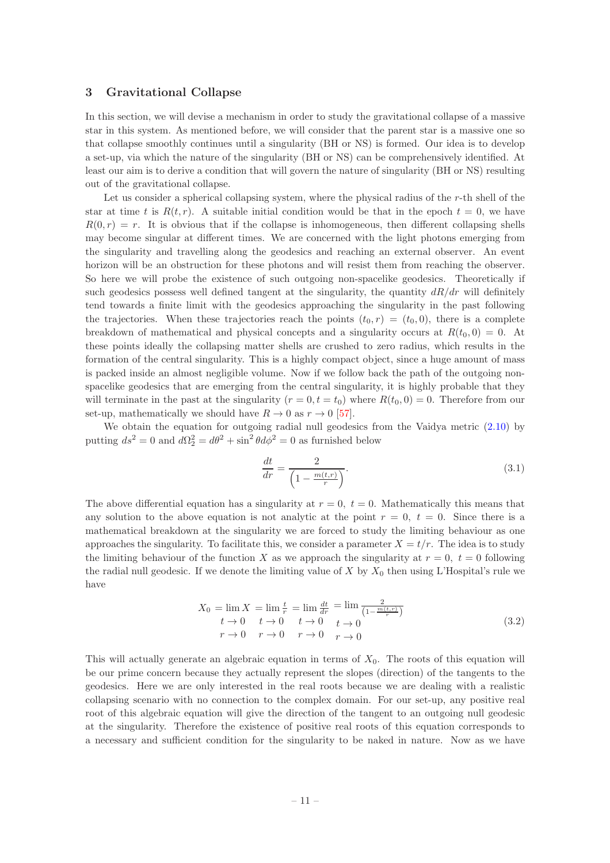## <span id="page-11-0"></span>3 Gravitational Collapse

In this section, we will devise a mechanism in order to study the gravitational collapse of a massive star in this system. As mentioned before, we will consider that the parent star is a massive one so that collapse smoothly continues until a singularity (BH or NS) is formed. Our idea is to develop a set-up, via which the nature of the singularity (BH or NS) can be comprehensively identified. At least our aim is to derive a condition that will govern the nature of singularity (BH or NS) resulting out of the gravitational collapse.

Let us consider a spherical collapsing system, where the physical radius of the  $r$ -th shell of the star at time t is  $R(t,r)$ . A suitable initial condition would be that in the epoch  $t = 0$ , we have  $R(0, r) = r$ . It is obvious that if the collapse is inhomogeneous, then different collapsing shells may become singular at different times. We are concerned with the light photons emerging from the singularity and travelling along the geodesics and reaching an external observer. An event horizon will be an obstruction for these photons and will resist them from reaching the observer. So here we will probe the existence of such outgoing non-spacelike geodesics. Theoretically if such geodesics possess well defined tangent at the singularity, the quantity  $dR/dr$  will definitely tend towards a finite limit with the geodesics approaching the singularity in the past following the trajectories. When these trajectories reach the points  $(t_0, r) = (t_0, 0)$ , there is a complete breakdown of mathematical and physical concepts and a singularity occurs at  $R(t_0, 0) = 0$ . At these points ideally the collapsing matter shells are crushed to zero radius, which results in the formation of the central singularity. This is a highly compact object, since a huge amount of mass is packed inside an almost negligible volume. Now if we follow back the path of the outgoing nonspacelike geodesics that are emerging from the central singularity, it is highly probable that they will terminate in the past at the singularity  $(r = 0, t = t_0)$  where  $R(t_0, 0) = 0$ . Therefore from our set-up, mathematically we should have  $R \to 0$  as  $r \to 0$  [\[57\]](#page-26-1).

We obtain the equation for outgoing radial null geodesics from the Vaidya metric  $(2.10)$  by putting  $ds^2 = 0$  and  $d\Omega_2^2 = d\theta^2 + \sin^2 \theta d\phi^2 = 0$  as furnished below

$$
\frac{dt}{dr} = \frac{2}{\left(1 - \frac{m(t,r)}{r}\right)}.\tag{3.1}
$$

The above differential equation has a singularity at  $r = 0$ ,  $t = 0$ . Mathematically this means that any solution to the above equation is not analytic at the point  $r = 0, t = 0$ . Since there is a mathematical breakdown at the singularity we are forced to study the limiting behaviour as one approaches the singularity. To facilitate this, we consider a parameter  $X = t/r$ . The idea is to study the limiting behaviour of the function X as we approach the singularity at  $r = 0$ ,  $t = 0$  following the radial null geodesic. If we denote the limiting value of X by  $X_0$  then using L'Hospital's rule we have

<span id="page-11-1"></span>
$$
X_0 = \lim_{r \to 0} X = \lim_{r \to 0} \frac{t}{r} = \lim_{r \to 0} \frac{dt}{dr} = \lim_{r \to 0} \frac{2}{\left(1 - \frac{m(t, r)}{r}\right)}
$$
  
\n
$$
t \to 0 \quad t \to 0 \quad t \to 0 \quad t \to 0
$$
  
\n
$$
r \to 0 \quad r \to 0 \quad r \to 0 \quad t \to 0
$$
\n(3.2)

This will actually generate an algebraic equation in terms of  $X_0$ . The roots of this equation will be our prime concern because they actually represent the slopes (direction) of the tangents to the geodesics. Here we are only interested in the real roots because we are dealing with a realistic collapsing scenario with no connection to the complex domain. For our set-up, any positive real root of this algebraic equation will give the direction of the tangent to an outgoing null geodesic at the singularity. Therefore the existence of positive real roots of this equation corresponds to a necessary and sufficient condition for the singularity to be naked in nature. Now as we have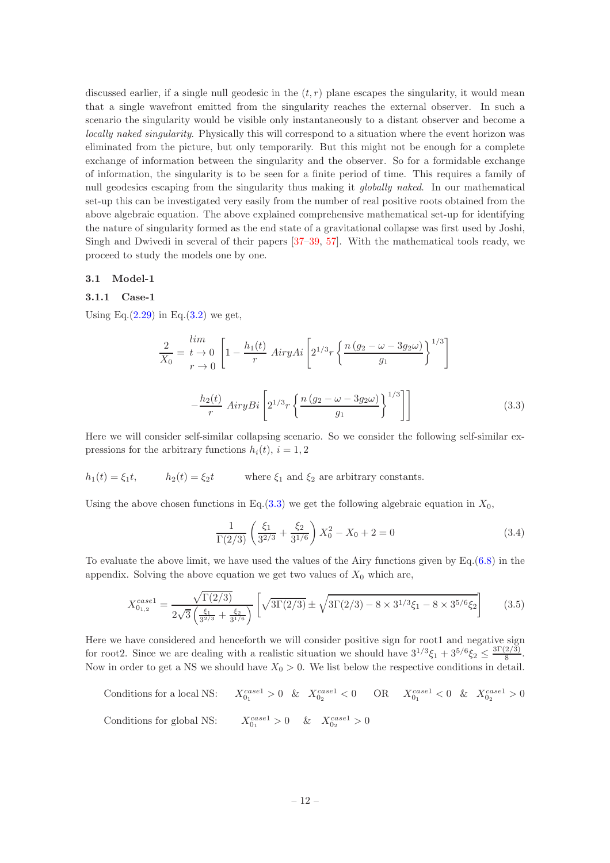discussed earlier, if a single null geodesic in the  $(t, r)$  plane escapes the singularity, it would mean that a single wavefront emitted from the singularity reaches the external observer. In such a scenario the singularity would be visible only instantaneously to a distant observer and become a locally naked singularity. Physically this will correspond to a situation where the event horizon was eliminated from the picture, but only temporarily. But this might not be enough for a complete exchange of information between the singularity and the observer. So for a formidable exchange of information, the singularity is to be seen for a finite period of time. This requires a family of null geodesics escaping from the singularity thus making it *qlobally naked*. In our mathematical set-up this can be investigated very easily from the number of real positive roots obtained from the above algebraic equation. The above explained comprehensive mathematical set-up for identifying the nature of singularity formed as the end state of a gravitational collapse was first used by Joshi, Singh and Dwivedi in several of their papers [\[37](#page-25-18)[–39,](#page-25-19) [57](#page-26-1)]. With the mathematical tools ready, we proceed to study the models one by one.

#### <span id="page-12-1"></span><span id="page-12-0"></span>3.1 Model-1

#### 3.1.1 Case-1

Using Eq. $(2.29)$  in Eq. $(3.2)$  we get,

<span id="page-12-2"></span>
$$
\frac{2}{X_0} = \frac{\lim}{t \to 0} \left[ 1 - \frac{h_1(t)}{r} \operatorname{Airy} A i \left[ 2^{1/3} r \left\{ \frac{n (g_2 - \omega - 3g_2 \omega)}{g_1} \right\}^{1/3} \right] - \frac{h_2(t)}{r} \operatorname{Airy} B i \left[ 2^{1/3} r \left\{ \frac{n (g_2 - \omega - 3g_2 \omega)}{g_1} \right\}^{1/3} \right] \right]
$$
(3.3)

Here we will consider self-similar collapsing scenario. So we consider the following self-similar expressions for the arbitrary functions  $h_i(t)$ ,  $i = 1, 2$ 

$$
h_1(t) = \xi_1 t
$$
,  $h_2(t) = \xi_2 t$  where  $\xi_1$  and  $\xi_2$  are arbitrary constants.

Using the above chosen functions in Eq.[\(3.3\)](#page-12-2) we get the following algebraic equation in  $X_0$ ,

$$
\frac{1}{\Gamma(2/3)} \left( \frac{\xi_1}{3^{2/3}} + \frac{\xi_2}{3^{1/6}} \right) X_0^2 - X_0 + 2 = 0 \tag{3.4}
$$

To evaluate the above limit, we have used the values of the Airy functions given by Eq.[\(6.8\)](#page-24-16) in the appendix. Solving the above equation we get two values of  $X_0$  which are,

$$
X_{0_{1,2}}^{case1} = \frac{\sqrt{\Gamma(2/3)}}{2\sqrt{3}\left(\frac{\xi_1}{3^{2/3}} + \frac{\xi_2}{3^{1/6}}\right)} \left[\sqrt{3\Gamma(2/3)} \pm \sqrt{3\Gamma(2/3) - 8 \times 3^{1/3}\xi_1 - 8 \times 3^{5/6}\xi_2}\right] \tag{3.5}
$$

Here we have considered and henceforth we will consider positive sign for root1 and negative sign for root2. Since we are dealing with a realistic situation we should have  $3^{1/3}\xi_1 + 3^{5/6}\xi_2 \le \frac{3\Gamma(2/3)}{8}$  $\frac{2(3)}{8}$ . Now in order to get a NS we should have  $X_0 > 0$ . We list below the respective conditions in detail.

Conditions for a local NS:  $X_{0_1}^{case1} > 0 \& X_{0_2}^{case1} < 0 \qquad \text{OR} \qquad X_{0_1}^{case1} < 0 \& X_{0_2}^{case1} > 0$ Conditions for global NS:  $X_{0_1}^{case1} > 0$  &  $X_{0_2}^{case1} > 0$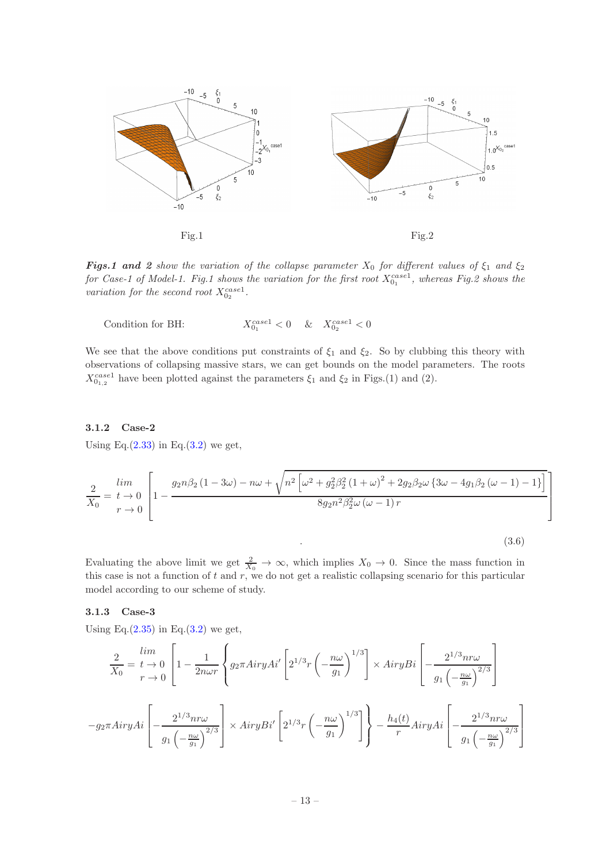

**Figs.1 and 2** show the variation of the collapse parameter  $X_0$  for different values of  $\xi_1$  and  $\xi_2$ for Case-1 of Model-1. Fig.1 shows the variation for the first root  $X_{0_1}^{case1}$ , whereas Fig.2 shows the variation for the second root  $X_{0_2}^{case1}$ .

Condition for BH:  $X_{0_1}^{case1} < 0$  &  $X_{0_2}^{case1} < 0$ 

We see that the above conditions put constraints of  $\xi_1$  and  $\xi_2$ . So by clubbing this theory with observations of collapsing massive stars, we can get bounds on the model parameters. The roots  $X_{0_{1,2}}^{case1}$  have been plotted against the parameters  $\xi_1$  and  $\xi_2$  in Figs.(1) and (2).

# <span id="page-13-0"></span>3.1.2 Case-2

Using Eq. $(2.33)$  in Eq. $(3.2)$  we get,

$$
\frac{2}{X_0} = \frac{\lim}{t \to 0} \left[ 1 - \frac{g_2 n \beta_2 (1 - 3\omega) - n\omega + \sqrt{n^2 \left[ \omega^2 + g_2^2 \beta_2^2 (1 + \omega)^2 + 2g_2 \beta_2 \omega \left\{ 3\omega - 4g_1 \beta_2 \left( \omega - 1 \right) - 1 \right\} \right]}{8g_2 n^2 \beta_2^2 \omega (\omega - 1) r} \right]
$$

<span id="page-13-2"></span>.  $(3.6)$ 

1  $\overline{1}$  $\overline{1}$  $\overline{1}$ 

Evaluating the above limit we get  $\frac{2}{X_0} \to \infty$ , which implies  $X_0 \to 0$ . Since the mass function in this case is not a function of  $t$  and  $r$ , we do not get a realistic collapsing scenario for this particular model according to our scheme of study.

# <span id="page-13-1"></span>3.1.3 Case-3

Using Eq. $(2.35)$  in Eq. $(3.2)$  we get,

$$
\frac{2}{X_0} = t \to 0 \left[ 1 - \frac{1}{2n\omega r} \left\{ g_2 \pi A i r y A i' \left[ 2^{1/3} r \left( -\frac{n\omega}{g_1} \right)^{1/3} \right] \times Airy Bi \left[ -\frac{2^{1/3} n r \omega}{g_1 \left( -\frac{n\omega}{g_1} \right)^{2/3}} \right] \right\}
$$

$$
-g_2 \pi Airy Ai \left[ -\frac{2^{1/3} n r \omega}{g_1 \left( -\frac{n\omega}{g_1} \right)^{2/3}} \right] \times Airy Bi' \left[ 2^{1/3} r \left( -\frac{n\omega}{g_1} \right)^{1/3} \right] \right\} - \frac{h_4(t)}{r} Airy Ai \left[ -\frac{2^{1/3} n r \omega}{g_1 \left( -\frac{n\omega}{g_1} \right)^{2/3}} \right]
$$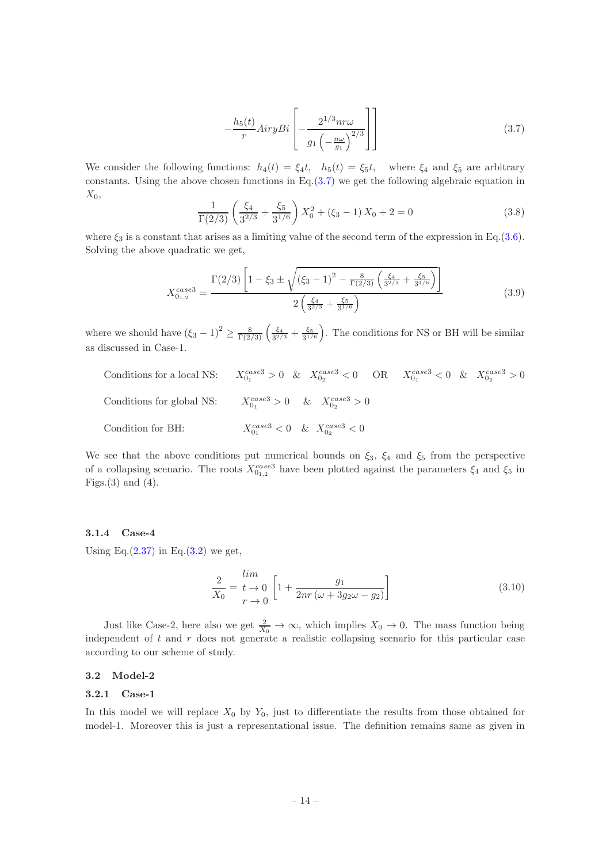<span id="page-14-3"></span>
$$
-\frac{h_5(t)}{r}Airy Bi\left[-\frac{2^{1/3}nr\omega}{g_1\left(-\frac{n\omega}{g_1}\right)^{2/3}}\right]
$$
\n(3.7)

We consider the following functions:  $h_4(t) = \xi_4 t$ ,  $h_5(t) = \xi_5 t$ , where  $\xi_4$  and  $\xi_5$  are arbitrary constants. Using the above chosen functions in  $Eq.(3.7)$  $Eq.(3.7)$  we get the following algebraic equation in  $X_0$ ,

$$
\frac{1}{\Gamma(2/3)} \left( \frac{\xi_4}{3^{2/3}} + \frac{\xi_5}{3^{1/6}} \right) X_0^2 + (\xi_3 - 1) X_0 + 2 = 0
$$
\n(3.8)

where  $\xi_3$  is a constant that arises as a limiting value of the second term of the expression in Eq.[\(3.6\)](#page-13-2). Solving the above quadratic we get,

$$
X_{0_{1,2}}^{case3} = \frac{\Gamma(2/3) \left[1 - \xi_3 \pm \sqrt{(\xi_3 - 1)^2 - \frac{8}{\Gamma(2/3)} \left(\frac{\xi_4}{3^{2/3}} + \frac{\xi_5}{3^{1/6}}\right)}\right]}{2 \left(\frac{\xi_4}{3^{2/3}} + \frac{\xi_5}{3^{1/6}}\right)}
$$
(3.9)

where we should have  $(\xi_3 - 1)^2 \ge \frac{8}{\Gamma(2/3)} \left( \frac{\xi_4}{3^{2/3}} + \frac{\xi_5}{3^{1/6}} \right)$ . The conditions for NS or BH will be similar as discussed in Case-1.

Conditions for a local NS:

\n
$$
X_{0_1}^{case3} > 0 \quad \& \quad X_{0_2}^{case3} < 0 \quad \text{OR} \quad X_{0_1}^{case3} < 0 \quad \& \quad X_{0_2}^{case3} > 0
$$
\nConditions for global NS:

\n
$$
X_{0_1}^{case3} > 0 \quad \& \quad X_{0_2}^{case3} > 0
$$
\nCondition for BH:

\n
$$
X_{0_1}^{case3} < 0 \quad \& \quad X_{0_2}^{case3} < 0
$$

We see that the above conditions put numerical bounds on  $\xi_3$ ,  $\xi_4$  and  $\xi_5$  from the perspective of a collapsing scenario. The roots  $X_{0_{1,2}}^{case3}$  have been plotted against the parameters  $\xi_4$  and  $\xi_5$  in Figs. $(3)$  and  $(4)$ .

# <span id="page-14-0"></span>3.1.4 Case-4

Using Eq. $(2.37)$  in Eq. $(3.2)$  we get,

$$
\frac{2}{X_0} = \frac{\lim}{t \to 0} \left[ 1 + \frac{g_1}{2nr(\omega + 3g_2\omega - g_2)} \right]
$$
(3.10)

Just like Case-2, here also we get  $\frac{2}{X_0} \to \infty$ , which implies  $X_0 \to 0$ . The mass function being independent of  $t$  and  $r$  does not generate a realistic collapsing scenario for this particular case according to our scheme of study.

#### <span id="page-14-2"></span><span id="page-14-1"></span>3.2 Model-2

#### 3.2.1 Case-1

In this model we will replace  $X_0$  by  $Y_0$ , just to differentiate the results from those obtained for model-1. Moreover this is just a representational issue. The definition remains same as given in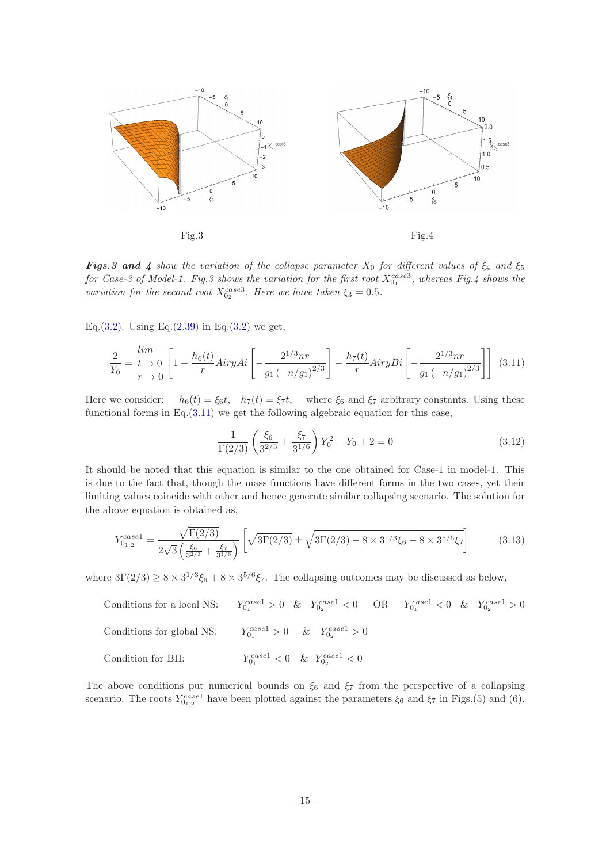

**Figs.3 and 4** show the variation of the collapse parameter  $X_0$  for different values of  $\xi_4$  and  $\xi_5$ for Case-3 of Model-1. Fig.3 shows the variation for the first root  $X_{0_1}^{case3}$ , whereas Fig.4 shows the variation for the second root  $X_{0_2}^{case3}$ . Here we have taken  $\xi_3 = 0.5$ .

Eq.[\(3.2\)](#page-11-1). Using Eq.[\(2.39\)](#page-9-2) in Eq.(3.2) we get,

<span id="page-15-0"></span>
$$
\frac{2}{Y_0} = \frac{\lim}{t \to 0} \left[ 1 - \frac{h_6(t)}{r} AiryAi \left[ -\frac{2^{1/3}nr}{g_1\left(-n/g_1\right)^{2/3}} \right] - \frac{h_7(t)}{r} AiryBi \left[ -\frac{2^{1/3}nr}{g_1\left(-n/g_1\right)^{2/3}} \right] \right] (3.11)
$$

Here we consider:  $h_6(t) = \xi_6 t$ ,  $h_7(t) = \xi_7 t$ , where  $\xi_6$  and  $\xi_7$  arbitrary constants. Using these functional forms in Eq. $(3.11)$  we get the following algebraic equation for this case,

$$
\frac{1}{\Gamma(2/3)} \left( \frac{\xi_6}{3^{2/3}} + \frac{\xi_7}{3^{1/6}} \right) Y_0^2 - Y_0 + 2 = 0
$$
\n(3.12)

It should be noted that this equation is similar to the one obtained for Case-1 in model-1. This is due to the fact that, though the mass functions have different forms in the two cases, yet their limiting values coincide with other and hence generate similar collapsing scenario. The solution for the above equation is obtained as,

$$
Y_{0_{1,2}}^{case1} = \frac{\sqrt{\Gamma(2/3)}}{2\sqrt{3}\left(\frac{\xi_6}{3^{2/3}} + \frac{\xi_7}{3^{1/6}}\right)} \left[\sqrt{3\Gamma(2/3)} \pm \sqrt{3\Gamma(2/3) - 8 \times 3^{1/3}\xi_6 - 8 \times 3^{5/6}\xi_7}\right]
$$
(3.13)

where  $3\Gamma(2/3) \ge 8 \times 3^{1/3} \xi_6 + 8 \times 3^{5/6} \xi_7$ . The collapsing outcomes may be discussed as below,

Conditions for a local NS:  $Y_{0_1}^{case1} > 0 \quad \& \quad Y_{0_2}^{case1} < 0 \quad \text{OR} \quad \quad Y_{0_1}^{case1} < 0 \quad \& \quad Y_{0_2}^{case1} > 0$ Conditions for global NS:  $C_{0_1}^{case1} > 0$  &  $Y_{0_2}^{case1} > 0$ Condition for BH:  $Y_{0_1}^{case1} < 0 \quad \& \quad Y_{0_2}^{case1} < 0$ 

The above conditions put numerical bounds on  $\xi_6$  and  $\xi_7$  from the perspective of a collapsing scenario. The roots  $Y_{0_{1,2}}^{case1}$  have been plotted against the parameters  $\xi_6$  and  $\xi_7$  in Figs.(5) and (6).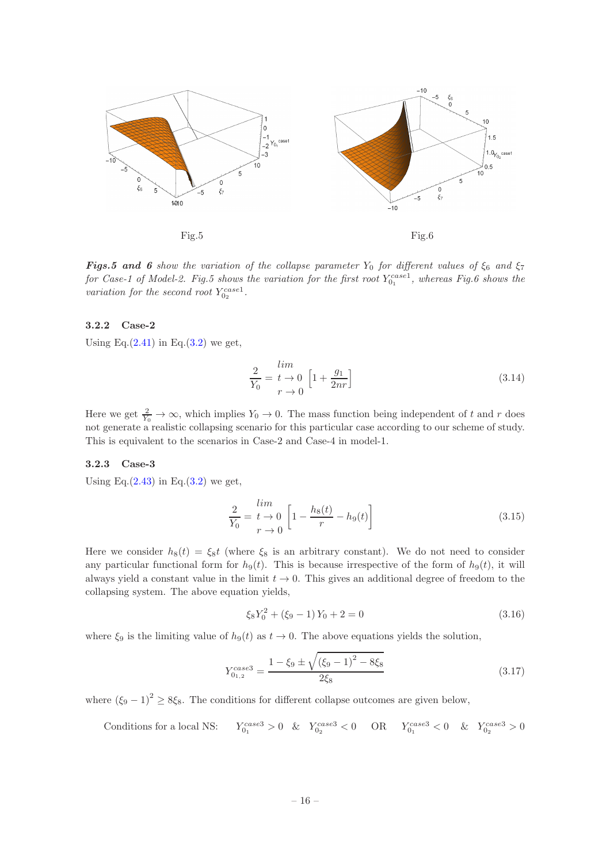

**Figs.5 and 6** show the variation of the collapse parameter  $Y_0$  for different values of  $\xi_6$  and  $\xi_7$ for Case-1 of Model-2. Fig.5 shows the variation for the first root  $Y_{0_1}^{case1}$ , whereas Fig.6 shows the variation for the second root  $Y_{0_2}^{case1}$ .

# <span id="page-16-0"></span>3.2.2 Case-2

Using Eq. $(2.41)$  in Eq. $(3.2)$  we get,

$$
\frac{2}{Y_0} = \frac{lim}{t \to 0} \left[ 1 + \frac{g_1}{2nr} \right]
$$
\n(3.14)

Here we get  $\frac{2}{Y_0} \to \infty$ , which implies  $Y_0 \to 0$ . The mass function being independent of t and r does not generate a realistic collapsing scenario for this particular case according to our scheme of study. This is equivalent to the scenarios in Case-2 and Case-4 in model-1.

# <span id="page-16-1"></span>3.2.3 Case-3

Using Eq. $(2.43)$  in Eq. $(3.2)$  we get,

$$
\frac{2}{Y_0} = \frac{lim}{t \to 0} \left[ 1 - \frac{h_8(t)}{r} - h_9(t) \right]
$$
\n(3.15)

Here we consider  $h_8(t) = \xi_8 t$  (where  $\xi_8$  is an arbitrary constant). We do not need to consider any particular functional form for  $h_9(t)$ . This is because irrespective of the form of  $h_9(t)$ , it will always yield a constant value in the limit  $t \to 0$ . This gives an additional degree of freedom to the collapsing system. The above equation yields,

$$
\xi_8 Y_0^2 + (\xi_9 - 1) Y_0 + 2 = 0 \tag{3.16}
$$

where  $\xi_9$  is the limiting value of  $h_9(t)$  as  $t \to 0$ . The above equations yields the solution,

$$
Y_{0_{1,2}}^{case3} = \frac{1 - \xi_9 \pm \sqrt{(\xi_9 - 1)^2 - 8\xi_8}}{2\xi_8}
$$
\n(3.17)

where  $(\xi_9 - 1)^2 \ge 8\xi_8$ . The conditions for different collapse outcomes are given below,

Conditions for a local NS: 
$$
Y_{0_1}^{case3} > 0
$$
 &  $Y_{0_2}^{case3} < 0$  OR  $Y_{0_1}^{case3} < 0$  &  $Y_{0_2}^{case3} > 0$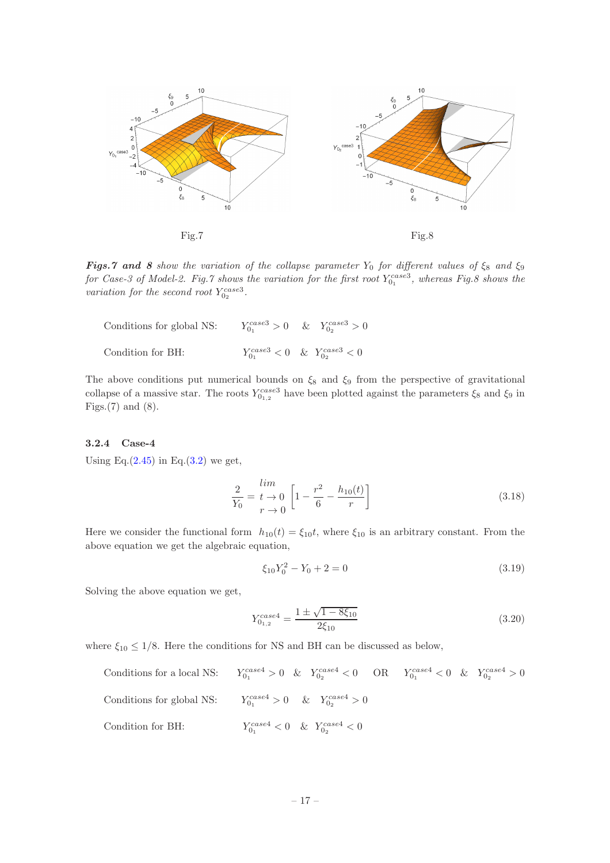

**Figs.7 and 8** show the variation of the collapse parameter  $Y_0$  for different values of  $\xi_8$  and  $\xi_9$ for Case-3 of Model-2. Fig.7 shows the variation for the first root  $Y_{0_1}^{case3}$ , whereas Fig.8 shows the variation for the second root  $Y_{0_2}^{case3}$ .

| Conditions for global NS: | $Y_{0_1}^{case3} > 0$ & $Y_{0_2}^{case3} > 0$ |
|---------------------------|-----------------------------------------------|
| Condition for BH:         | $Y_{0_1}^{case3} < 0 \& Y_{0_2}^{case3} < 0$  |

The above conditions put numerical bounds on  $\xi_8$  and  $\xi_9$  from the perspective of gravitational collapse of a massive star. The roots  $Y_{0_{1,2}}^{case3}$  have been plotted against the parameters  $\xi_8$  and  $\xi_9$  in Figs. $(7)$  and  $(8)$ .

#### <span id="page-17-0"></span>3.2.4 Case-4

Using Eq. $(2.45)$  in Eq. $(3.2)$  we get,

$$
\frac{2}{Y_0} = \frac{\lim_{t \to 0} \left[ 1 - \frac{r^2}{6} - \frac{h_{10}(t)}{r} \right]}{(3.18)}
$$

Here we consider the functional form  $h_{10}(t) = \xi_{10}t$ , where  $\xi_{10}$  is an arbitrary constant. From the above equation we get the algebraic equation,

$$
\xi_{10}Y_0^2 - Y_0 + 2 = 0\tag{3.19}
$$

Solving the above equation we get,

$$
Y_{0_{1,2}}^{case4} = \frac{1 \pm \sqrt{1 - 8\xi_{10}}}{2\xi_{10}} \tag{3.20}
$$

where  $\xi_{10} \leq 1/8$ . Here the conditions for NS and BH can be discussed as below,

Conditions for a local NS:  $Y_{0_1}^{case4} > 0 \quad \& \quad Y_{0_2}^{case4} < 0 \quad \text{OR} \quad \quad Y_{0_1}^{case4} < 0 \quad \& \quad Y_{0_2}^{case4} > 0$ Conditions for global NS:  $C_{0_1}^{case4} > 0$  &  $Y_{0_2}^{case4} > 0$ Condition for BH:  $Y_{0_1}^{case4} < 0 \quad \& \quad Y_{0_2}^{case4} < 0$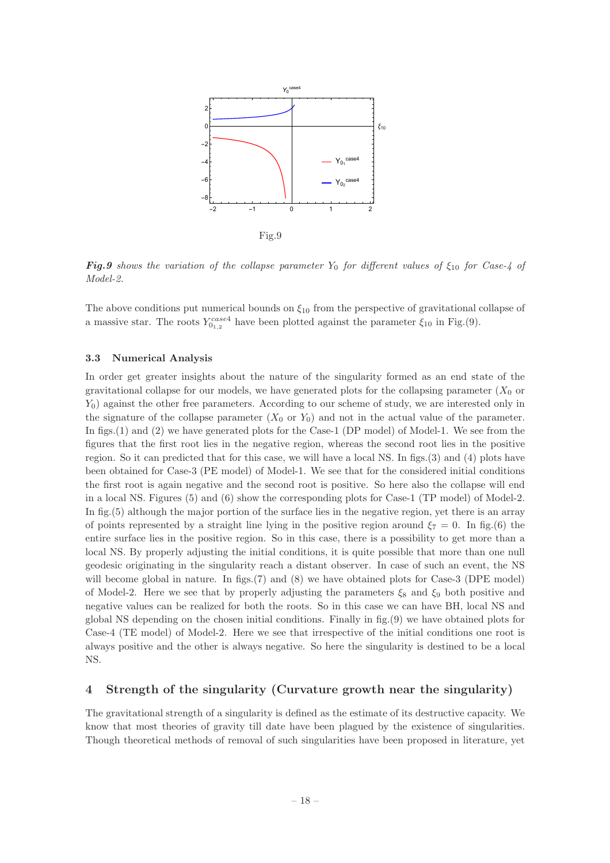

**Fig.9** shows the variation of the collapse parameter Y<sub>0</sub> for different values of  $\xi_{10}$  for Case-4 of Model-2.

The above conditions put numerical bounds on  $\xi_{10}$  from the perspective of gravitational collapse of a massive star. The roots  $Y_{0_{1,2}}^{case4}$  have been plotted against the parameter  $\xi_{10}$  in Fig.(9).

#### <span id="page-18-0"></span>3.3 Numerical Analysis

In order get greater insights about the nature of the singularity formed as an end state of the gravitational collapse for our models, we have generated plots for the collapsing parameter  $(X_0$  or  $Y_0$ ) against the other free parameters. According to our scheme of study, we are interested only in the signature of the collapse parameter  $(X_0 \text{ or } Y_0)$  and not in the actual value of the parameter. In figs. (1) and (2) we have generated plots for the Case-1 (DP model) of Model-1. We see from the figures that the first root lies in the negative region, whereas the second root lies in the positive region. So it can predicted that for this case, we will have a local NS. In figs.(3) and (4) plots have been obtained for Case-3 (PE model) of Model-1. We see that for the considered initial conditions the first root is again negative and the second root is positive. So here also the collapse will end in a local NS. Figures (5) and (6) show the corresponding plots for Case-1 (TP model) of Model-2. In fig.(5) although the major portion of the surface lies in the negative region, yet there is an array of points represented by a straight line lying in the positive region around  $\xi_7 = 0$ . In fig.(6) the entire surface lies in the positive region. So in this case, there is a possibility to get more than a local NS. By properly adjusting the initial conditions, it is quite possible that more than one null geodesic originating in the singularity reach a distant observer. In case of such an event, the NS will become global in nature. In figs.(7) and (8) we have obtained plots for Case-3 (DPE model) of Model-2. Here we see that by properly adjusting the parameters  $\xi_8$  and  $\xi_9$  both positive and negative values can be realized for both the roots. So in this case we can have BH, local NS and global NS depending on the chosen initial conditions. Finally in fig.(9) we have obtained plots for Case-4 (TE model) of Model-2. Here we see that irrespective of the initial conditions one root is always positive and the other is always negative. So here the singularity is destined to be a local NS.

# <span id="page-18-1"></span>4 Strength of the singularity (Curvature growth near the singularity)

The gravitational strength of a singularity is defined as the estimate of its destructive capacity. We know that most theories of gravity till date have been plagued by the existence of singularities. Though theoretical methods of removal of such singularities have been proposed in literature, yet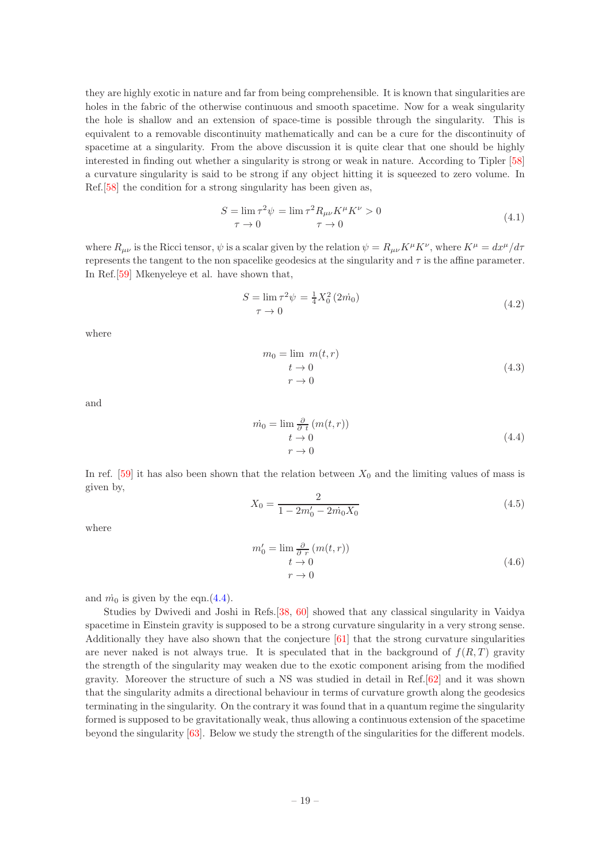they are highly exotic in nature and far from being comprehensible. It is known that singularities are holes in the fabric of the otherwise continuous and smooth spacetime. Now for a weak singularity the hole is shallow and an extension of space-time is possible through the singularity. This is equivalent to a removable discontinuity mathematically and can be a cure for the discontinuity of spacetime at a singularity. From the above discussion it is quite clear that one should be highly interested in finding out whether a singularity is strong or weak in nature. According to Tipler [\[58](#page-26-2)] a curvature singularity is said to be strong if any object hitting it is squeezed to zero volume. In Ref.[\[58\]](#page-26-2) the condition for a strong singularity has been given as,

$$
S = \lim_{\tau \to 0} \tau^2 \psi = \lim_{\tau \to 0} \tau^2 R_{\mu\nu} K^{\mu} K^{\nu} > 0
$$
  

$$
\tau \to 0
$$
 (4.1)

where  $R_{\mu\nu}$  is the Ricci tensor,  $\psi$  is a scalar given by the relation  $\psi = R_{\mu\nu}K^{\mu}K^{\nu}$ , where  $K^{\mu} = dx^{\mu}/d\tau$ represents the tangent to the non spacelike geodesics at the singularity and  $\tau$  is the affine parameter. In Ref.[\[59](#page-26-3)] Mkenyeleye et al. have shown that,

<span id="page-19-1"></span>
$$
S = \lim_{\tau \to 0} \tau^2 \psi = \frac{1}{4} X_0^2 (2\dot{m}_0)
$$
  
\n
$$
\tau \to 0
$$
\n(4.2)

where

$$
m_0 = \lim_{t \to 0} m(t, r)
$$
  
\n
$$
t \to 0
$$
  
\n
$$
r \to 0
$$
\n(4.3)

and

<span id="page-19-0"></span>
$$
\begin{aligned} \dot{m}_0 &= \lim \frac{\partial}{\partial t} \left( m(t, r) \right) \\ &t \to 0 \\ &r \to 0 \end{aligned} \tag{4.4}
$$

In ref.  $[59]$  it has also been shown that the relation between  $X_0$  and the limiting values of mass is given by,

<span id="page-19-2"></span>
$$
X_0 = \frac{2}{1 - 2m'_0 - 2m_0 X_0} \tag{4.5}
$$

where

<span id="page-19-3"></span>
$$
m'_0 = \lim_{\substack{\partial \\ t \to 0}} \frac{\partial}{\partial r} (m(t, r))
$$
  

$$
r \to 0
$$
 (4.6)

and  $\dot{m}_0$  is given by the eqn.[\(4.4\)](#page-19-0).

Studies by Dwivedi and Joshi in Refs.[\[38](#page-25-20), [60\]](#page-26-4) showed that any classical singularity in Vaidya spacetime in Einstein gravity is supposed to be a strong curvature singularity in a very strong sense. Additionally they have also shown that the conjecture [\[61](#page-26-5)] that the strong curvature singularities are never naked is not always true. It is speculated that in the background of  $f(R,T)$  gravity the strength of the singularity may weaken due to the exotic component arising from the modified gravity. Moreover the structure of such a NS was studied in detail in Ref.[\[62\]](#page-26-6) and it was shown that the singularity admits a directional behaviour in terms of curvature growth along the geodesics terminating in the singularity. On the contrary it was found that in a quantum regime the singularity formed is supposed to be gravitationally weak, thus allowing a continuous extension of the spacetime beyond the singularity [\[63\]](#page-26-7). Below we study the strength of the singularities for the different models.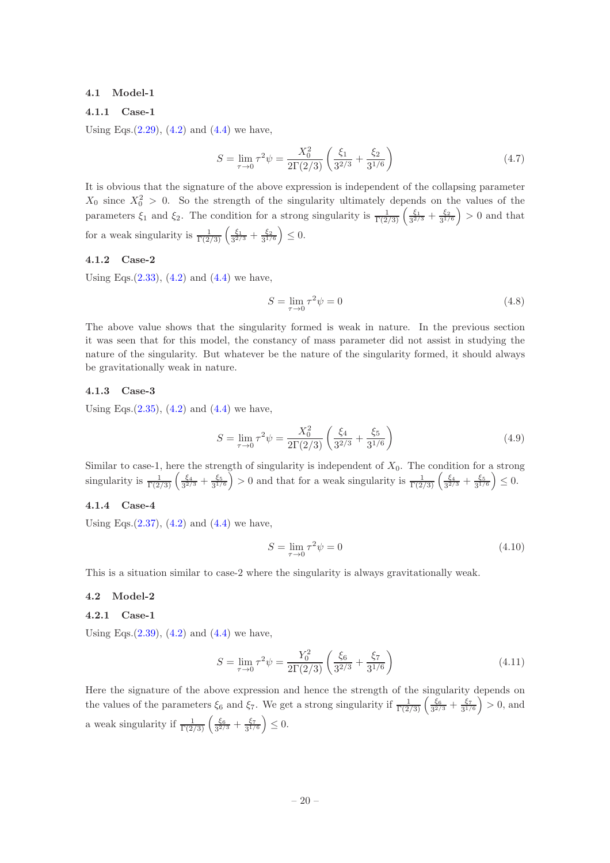#### <span id="page-20-1"></span><span id="page-20-0"></span>4.1 Model-1

#### 4.1.1 Case-1

Using Eqs. $(2.29)$ ,  $(4.2)$  and  $(4.4)$  we have,

$$
S = \lim_{\tau \to 0} \tau^2 \psi = \frac{X_0^2}{2\Gamma(2/3)} \left( \frac{\xi_1}{3^{2/3}} + \frac{\xi_2}{3^{1/6}} \right) \tag{4.7}
$$

It is obvious that the signature of the above expression is independent of the collapsing parameter  $X_0$  since  $X_0^2 > 0$ . So the strength of the singularity ultimately depends on the values of the parameters  $\xi_1$  and  $\xi_2$ . The condition for a strong singularity is  $\frac{1}{\Gamma(2/3)} \left( \frac{\xi_1}{3^{2/3}} + \frac{\xi_2}{3^{1/6}} \right) > 0$  and that for a weak singularity is  $\frac{1}{\Gamma(2/3)} \left( \frac{\xi_1}{3^{2/3}} + \frac{\xi_2}{3^{1/6}} \right) \leq 0$ .

#### <span id="page-20-2"></span>4.1.2 Case-2

Using Eqs. $(2.33)$ ,  $(4.2)$  and  $(4.4)$  we have,

$$
S = \lim_{\tau \to 0} \tau^2 \psi = 0 \tag{4.8}
$$

The above value shows that the singularity formed is weak in nature. In the previous section it was seen that for this model, the constancy of mass parameter did not assist in studying the nature of the singularity. But whatever be the nature of the singularity formed, it should always be gravitationally weak in nature.

#### <span id="page-20-3"></span>4.1.3 Case-3

Using Eqs. $(2.35)$ ,  $(4.2)$  and  $(4.4)$  we have,

$$
S = \lim_{\tau \to 0} \tau^2 \psi = \frac{X_0^2}{2\Gamma(2/3)} \left( \frac{\xi_4}{3^{2/3}} + \frac{\xi_5}{3^{1/6}} \right)
$$
(4.9)

Similar to case-1, here the strength of singularity is independent of  $X_0$ . The condition for a strong singularity is  $\frac{1}{\Gamma(2/3)} \left( \frac{\xi_4}{3^{2/3}} + \frac{\xi_5}{3^{1/6}} \right) > 0$  and that for a weak singularity is  $\frac{1}{\Gamma(2/3)} \left( \frac{\xi_4}{3^{2/3}} + \frac{\xi_5}{3^{1/6}} \right) \leq 0$ .

# <span id="page-20-4"></span>4.1.4 Case-4

Using Eqs.  $(2.37)$ ,  $(4.2)$  and  $(4.4)$  we have,

$$
S = \lim_{\tau \to 0} \tau^2 \psi = 0 \tag{4.10}
$$

<span id="page-20-5"></span>This is a situation similar to case-2 where the singularity is always gravitationally weak.

## <span id="page-20-6"></span>4.2 Model-2

#### 4.2.1 Case-1

Using Eqs. $(2.39)$ ,  $(4.2)$  and  $(4.4)$  we have,

$$
S = \lim_{\tau \to 0} \tau^2 \psi = \frac{Y_0^2}{2\Gamma(2/3)} \left( \frac{\xi_6}{3^{2/3}} + \frac{\xi_7}{3^{1/6}} \right)
$$
(4.11)

Here the signature of the above expression and hence the strength of the singularity depends on the values of the parameters  $\xi_6$  and  $\xi_7$ . We get a strong singularity if  $\frac{1}{\Gamma(2/3)} \left( \frac{\xi_6}{3^{2/3}} + \frac{\xi_7}{3^{1/6}} \right) > 0$ , and a weak singularity if  $\frac{1}{\Gamma(2/3)} \left( \frac{\xi_6}{3^{2/3}} + \frac{\xi_7}{3^{1/6}} \right) \leq 0$ .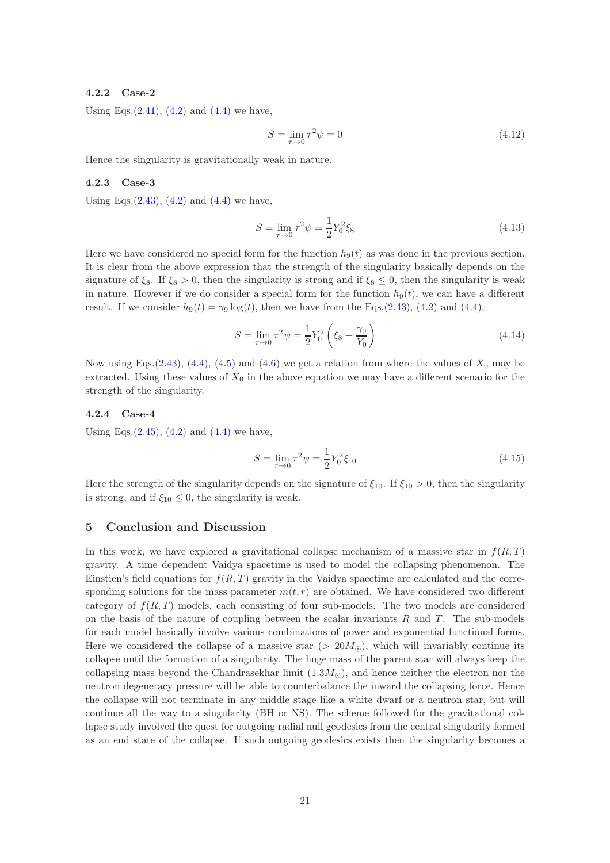#### <span id="page-21-0"></span>4.2.2 Case-2

Using Eqs. $(2.41)$ ,  $(4.2)$  and  $(4.4)$  we have,

$$
S = \lim_{\tau \to 0} \tau^2 \psi = 0 \tag{4.12}
$$

<span id="page-21-1"></span>Hence the singularity is gravitationally weak in nature.

#### 4.2.3 Case-3

Using Eqs. $(2.43)$ ,  $(4.2)$  and  $(4.4)$  we have,

$$
S = \lim_{\tau \to 0} \tau^2 \psi = \frac{1}{2} Y_0^2 \xi_8 \tag{4.13}
$$

Here we have considered no special form for the function  $h_9(t)$  as was done in the previous section. It is clear from the above expression that the strength of the singularity basically depends on the signature of  $\xi_8$ . If  $\xi_8 > 0$ , then the singularity is strong and if  $\xi_8 \leq 0$ , then the singularity is weak in nature. However if we do consider a special form for the function  $h_9(t)$ , we can have a different result. If we consider  $h_9(t) = \gamma_9 \log(t)$ , then we have from the Eqs.[\(2.43\)](#page-10-1), [\(4.2\)](#page-19-1) and [\(4.4\)](#page-19-0),

$$
S = \lim_{\tau \to 0} \tau^2 \psi = \frac{1}{2} Y_0^2 \left( \xi_8 + \frac{\gamma_9}{Y_0} \right) \tag{4.14}
$$

Now using Eqs.[\(2.43\)](#page-10-1), [\(4.4\)](#page-19-0), [\(4.5\)](#page-19-2) and [\(4.6\)](#page-19-3) we get a relation from where the values of  $X_0$  may be extracted. Using these values of  $X_0$  in the above equation we may have a different scenario for the strength of the singularity.

#### <span id="page-21-2"></span>4.2.4 Case-4

Using Eqs. $(2.45)$ ,  $(4.2)$  and  $(4.4)$  we have,

$$
S = \lim_{\tau \to 0} \tau^2 \psi = \frac{1}{2} Y_0^2 \xi_{10}
$$
\n(4.15)

Here the strength of the singularity depends on the signature of  $\xi_{10}$ . If  $\xi_{10} > 0$ , then the singularity is strong, and if  $\xi_{10} \leq 0$ , the singularity is weak.

#### <span id="page-21-3"></span>5 Conclusion and Discussion

In this work, we have explored a gravitational collapse mechanism of a massive star in  $f(R,T)$ gravity. A time dependent Vaidya spacetime is used to model the collapsing phenomenon. The Einstien's field equations for  $f(R, T)$  gravity in the Vaidya spacetime are calculated and the corresponding solutions for the mass parameter  $m(t, r)$  are obtained. We have considered two different category of  $f(R, T)$  models, each consisting of four sub-models. The two models are considered on the basis of the nature of coupling between the scalar invariants  $R$  and  $T$ . The sub-models for each model basically involve various combinations of power and exponential functional forms. Here we considered the collapse of a massive star ( $> 20M_{\odot}$ ), which will invariably continue its collapse until the formation of a singularity. The huge mass of the parent star will always keep the collapsing mass beyond the Chandrasekhar limit  $(1.3M_{\odot})$ , and hence neither the electron nor the neutron degeneracy pressure will be able to counterbalance the inward the collapsing force. Hence the collapse will not terminate in any middle stage like a white dwarf or a neutron star, but will continue all the way to a singularity (BH or NS). The scheme followed for the gravitational collapse study involved the quest for outgoing radial null geodesics from the central singularity formed as an end state of the collapse. If such outgoing geodesics exists then the singularity becomes a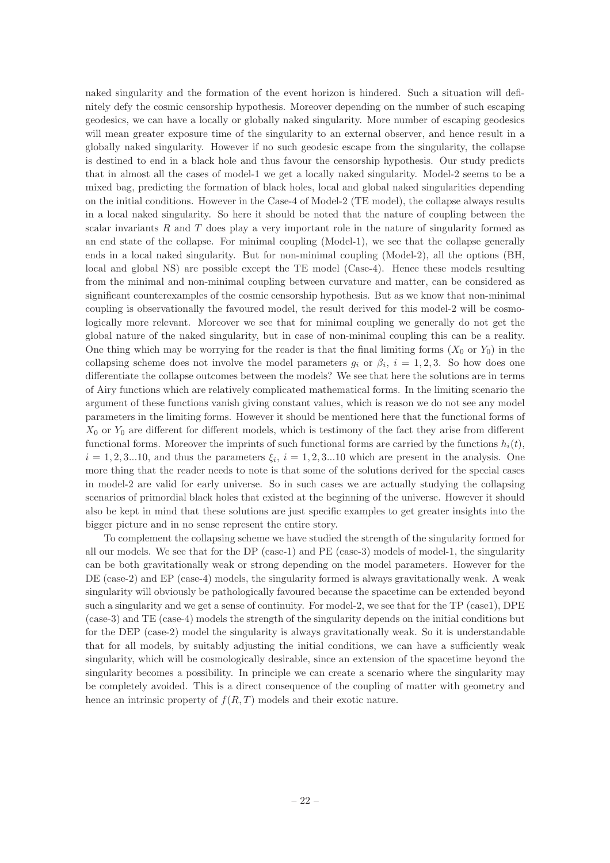naked singularity and the formation of the event horizon is hindered. Such a situation will definitely defy the cosmic censorship hypothesis. Moreover depending on the number of such escaping geodesics, we can have a locally or globally naked singularity. More number of escaping geodesics will mean greater exposure time of the singularity to an external observer, and hence result in a globally naked singularity. However if no such geodesic escape from the singularity, the collapse is destined to end in a black hole and thus favour the censorship hypothesis. Our study predicts that in almost all the cases of model-1 we get a locally naked singularity. Model-2 seems to be a mixed bag, predicting the formation of black holes, local and global naked singularities depending on the initial conditions. However in the Case-4 of Model-2 (TE model), the collapse always results in a local naked singularity. So here it should be noted that the nature of coupling between the scalar invariants  $R$  and  $T$  does play a very important role in the nature of singularity formed as an end state of the collapse. For minimal coupling (Model-1), we see that the collapse generally ends in a local naked singularity. But for non-minimal coupling (Model-2), all the options (BH, local and global NS) are possible except the TE model (Case-4). Hence these models resulting from the minimal and non-minimal coupling between curvature and matter, can be considered as significant counterexamples of the cosmic censorship hypothesis. But as we know that non-minimal coupling is observationally the favoured model, the result derived for this model-2 will be cosmologically more relevant. Moreover we see that for minimal coupling we generally do not get the global nature of the naked singularity, but in case of non-minimal coupling this can be a reality. One thing which may be worrying for the reader is that the final limiting forms  $(X_0 \text{ or } Y_0)$  in the collapsing scheme does not involve the model parameters  $g_i$  or  $\beta_i$ ,  $i = 1, 2, 3$ . So how does one differentiate the collapse outcomes between the models? We see that here the solutions are in terms of Airy functions which are relatively complicated mathematical forms. In the limiting scenario the argument of these functions vanish giving constant values, which is reason we do not see any model parameters in the limiting forms. However it should be mentioned here that the functional forms of  $X_0$  or  $Y_0$  are different for different models, which is testimony of the fact they arise from different functional forms. Moreover the imprints of such functional forms are carried by the functions  $h_i(t)$ ,  $i = 1, 2, 3...10$ , and thus the parameters  $\xi_i$ ,  $i = 1, 2, 3...10$  which are present in the analysis. One more thing that the reader needs to note is that some of the solutions derived for the special cases in model-2 are valid for early universe. So in such cases we are actually studying the collapsing scenarios of primordial black holes that existed at the beginning of the universe. However it should also be kept in mind that these solutions are just specific examples to get greater insights into the bigger picture and in no sense represent the entire story.

To complement the collapsing scheme we have studied the strength of the singularity formed for all our models. We see that for the DP (case-1) and PE (case-3) models of model-1, the singularity can be both gravitationally weak or strong depending on the model parameters. However for the DE (case-2) and EP (case-4) models, the singularity formed is always gravitationally weak. A weak singularity will obviously be pathologically favoured because the spacetime can be extended beyond such a singularity and we get a sense of continuity. For model-2, we see that for the TP (case1), DPE (case-3) and TE (case-4) models the strength of the singularity depends on the initial conditions but for the DEP (case-2) model the singularity is always gravitationally weak. So it is understandable that for all models, by suitably adjusting the initial conditions, we can have a sufficiently weak singularity, which will be cosmologically desirable, since an extension of the spacetime beyond the singularity becomes a possibility. In principle we can create a scenario where the singularity may be completely avoided. This is a direct consequence of the coupling of matter with geometry and hence an intrinsic property of  $f(R, T)$  models and their exotic nature.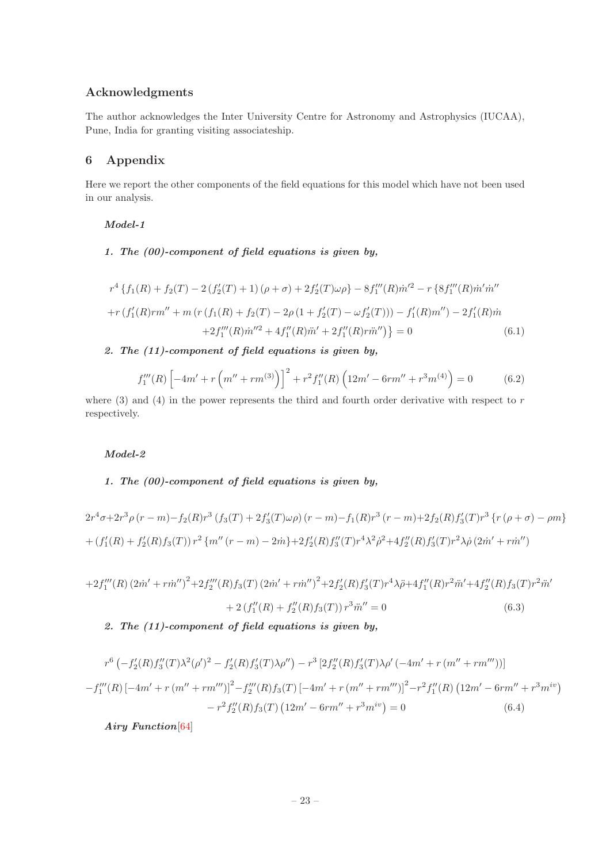# Acknowledgments

The author acknowledges the Inter University Centre for Astronomy and Astrophysics (IUCAA), Pune, India for granting visiting associateship.

# <span id="page-23-0"></span>6 Appendix

Here we report the other components of the field equations for this model which have not been used in our analysis.

## Model-1

# 1. The (00)-component of field equations is given by,

$$
r^{4} \left\{ f_{1}(R) + f_{2}(T) - 2\left(f_{2}'(T) + 1\right)(\rho + \sigma) + 2f_{2}'(T)\omega\rho \right\} - 8f_{1}'''(R)\dot{m}'^{2} - r \left\{ 8f_{1}'''(R)\dot{m}'\dot{m}'' + r\left(f_{1}'(R)rm'' + m\left(r\left(f_{1}(R) + f_{2}(T) - 2\rho\left(1 + f_{2}'(T) - \omega f_{2}'(T)\right)\right)\right) - f_{1}'(R)m''\right) - 2f_{1}'(R)\dot{m} + 2f_{1}'''(R)\dot{m}''^{2} + 4f_{1}''(R)\ddot{m}' + 2f_{1}''(R)\dot{m}'' \right\} = 0
$$
\n(6.1)

# 2. The (11)-component of field equations is given by,

$$
f_1'''(R)\left[-4m' + r\left(m'' + rm^{(3)}\right)\right]^2 + r^2 f_1''(R)\left(12m' - 6rm'' + r^3m^{(4)}\right) = 0\tag{6.2}
$$

where  $(3)$  and  $(4)$  in the power represents the third and fourth order derivative with respect to r respectively.

# Model-2

# 1. The (00)-component of field equations is given by,

$$
2r^4\sigma + 2r^3\rho (r - m) - f_2(R)r^3 \left(f_3(T) + 2f'_3(T)\omega\rho\right)(r - m) - f_1(R)r^3 (r - m) + 2f_2(R)f'_3(T)r^3 \left\{r\left(\rho + \sigma\right) - \rho m\right\}
$$
  
+ 
$$
\left(f'_1(R) + f'_2(R)f_3(T)\right)r^2 \left\{m''\left(r - m\right) - 2m\right\} + 2f'_2(R)f''_3(T)r^4\lambda^2\rho^2 + 4f''_2(R)f'_3(T)r^2\lambda\rho\left(2m' + r\dot{m}''\right)
$$

$$
+2f_1'''(R)(2\dot{m}'+r\dot{m}'')^2+2f_2'''(R)f_3(T)(2\dot{m}'+r\dot{m}'')^2+2f_2'(R)f_3'(T)r^4\lambda\ddot{\rho}+4f_1''(R)r^2\ddot{m}'+4f_2''(R)f_3(T)r^2\ddot{m}'
$$

$$
+2(f_1''(R)+f_2''(R)f_3(T))r^3\ddot{m}''=0
$$
(6.3)

2. The (11)-component of field equations is given by,

$$
r^{6} \left(-f'_{2}(R)f''_{3}(T)\lambda^{2}(\rho')^{2} - f'_{2}(R)f'_{3}(T)\lambda\rho''\right) - r^{3} \left[2f''_{2}(R)f'_{3}(T)\lambda\rho'(-4m' + r(m'' + rm'''))\right]
$$

$$
-f''_{1}(R)\left[-4m' + r(m'' + rm''')\right]^{2} - f''_{2}(R)f_{3}(T)\left[-4m' + r(m'' + rm''')\right]^{2} - r^{2}f''_{1}(R)\left(12m' - 6rm'' + r^{3}m^{iv}\right)
$$

$$
-r^{2}f''_{2}(R)f_{3}(T)\left(12m' - 6rm'' + r^{3}m^{iv}\right) = 0
$$
(6.4)

Airy Function[\[64\]](#page-26-8)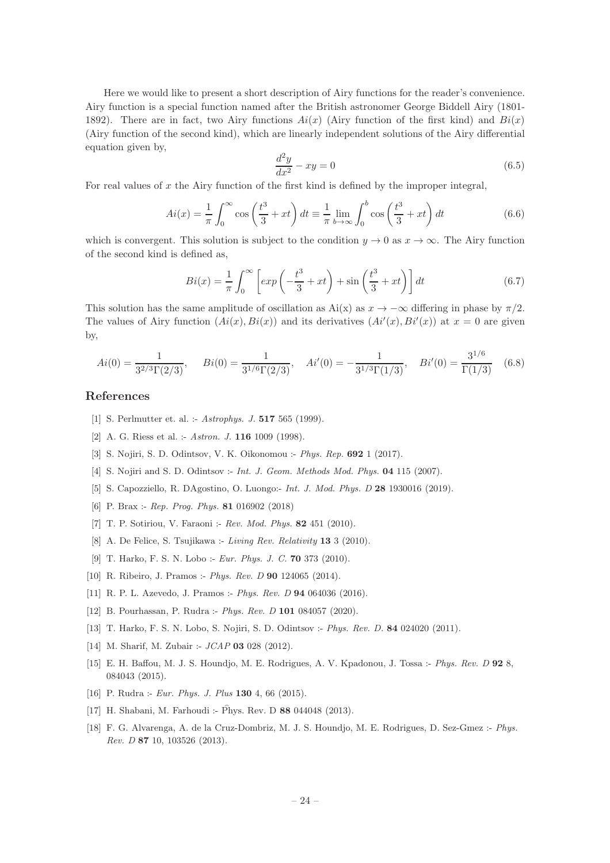Here we would like to present a short description of Airy functions for the reader's convenience. Airy function is a special function named after the British astronomer George Biddell Airy (1801- 1892). There are in fact, two Airy functions  $Ai(x)$  (Airy function of the first kind) and  $Bi(x)$ (Airy function of the second kind), which are linearly independent solutions of the Airy differential equation given by,

$$
\frac{d^2y}{dx^2} - xy = 0\tag{6.5}
$$

For real values of  $x$  the Airy function of the first kind is defined by the improper integral,

$$
Ai(x) = \frac{1}{\pi} \int_0^\infty \cos\left(\frac{t^3}{3} + xt\right) dt \equiv \frac{1}{\pi} \lim_{b \to \infty} \int_0^b \cos\left(\frac{t^3}{3} + xt\right) dt \tag{6.6}
$$

which is convergent. This solution is subject to the condition  $y \to 0$  as  $x \to \infty$ . The Airy function of the second kind is defined as,

$$
Bi(x) = \frac{1}{\pi} \int_0^\infty \left[ exp\left(-\frac{t^3}{3} + xt\right) + sin\left(\frac{t^3}{3} + xt\right) \right] dt \tag{6.7}
$$

This solution has the same amplitude of oscillation as  $Ai(x)$  as  $x \to -\infty$  differing in phase by  $\pi/2$ . The values of Airy function  $(Ai(x), Bi(x))$  and its derivatives  $(Ai'(x), Bi'(x))$  at  $x = 0$  are given by,

<span id="page-24-16"></span>
$$
Ai(0) = \frac{1}{3^{2/3}\Gamma(2/3)}, \quad Bi(0) = \frac{1}{3^{1/6}\Gamma(2/3)}, \quad Ai'(0) = -\frac{1}{3^{1/3}\Gamma(1/3)}, \quad Bi'(0) = \frac{3^{1/6}}{\Gamma(1/3)} \quad (6.8)
$$

# References

- <span id="page-24-0"></span>[1] S. Perlmutter et. al. :- Astrophys. J. **517** 565 (1999).
- <span id="page-24-1"></span>[2] A. G. Riess et al. :- Astron. J. **116** 1009 (1998).
- <span id="page-24-2"></span>[3] S. Nojiri, S. D. Odintsov, V. K. Oikonomou :- Phys. Rep. 692 1 (2017).
- [4] S. Nojiri and S. D. Odintsov :- *Int. J. Geom. Methods Mod. Phys.* **04** 115 (2007).
- <span id="page-24-3"></span>[5] S. Capozziello, R. DAgostino, O. Luongo:- Int. J. Mod. Phys. D 28 1930016 (2019).
- <span id="page-24-4"></span>[6] P. Brax :- Rep. Prog. Phys. **81** 016902 (2018)
- <span id="page-24-5"></span>[7] T. P. Sotiriou, V. Faraoni :- Rev. Mod. Phys. 82 451 (2010).
- <span id="page-24-6"></span>[8] A. De Felice, S. Tsujikawa :- Living Rev. Relativity 13 3 (2010).
- <span id="page-24-7"></span>[9] T. Harko, F. S. N. Lobo :- *Eur. Phys. J. C.* **70** 373 (2010).
- <span id="page-24-8"></span>[10] R. Ribeiro, J. Pramos :- Phys. Rev. D 90 124065 (2014).
- [11] R. P. L. Azevedo, J. Pramos :- Phys. Rev. D 94 064036 (2016).
- <span id="page-24-9"></span>[12] B. Pourhassan, P. Rudra :- Phys. Rev. D 101 084057 (2020).
- <span id="page-24-10"></span>[13] T. Harko, F. S. N. Lobo, S. Nojiri, S. D. Odintsov :- Phys. Rev. D. 84 024020 (2011).
- <span id="page-24-11"></span>[14] M. Sharif, M. Zubair :-  $JCAP$  03 028 (2012).
- <span id="page-24-12"></span>[15] E. H. Baffou, M. J. S. Houndjo, M. E. Rodrigues, A. V. Kpadonou, J. Tossa :- Phys. Rev. D 92 8, 084043 (2015).
- <span id="page-24-13"></span>[16] P. Rudra :- *Eur. Phys. J. Plus* **130** 4, 66 (2015).
- <span id="page-24-14"></span>[17] H. Shabani, M. Farhoudi :- Phys. Rev. D 88 044048 (2013).
- <span id="page-24-15"></span>[18] F. G. Alvarenga, A. de la Cruz-Dombriz, M. J. S. Houndjo, M. E. Rodrigues, D. Sez-Gmez :- Phys. Rev. D 87 10, 103526 (2013).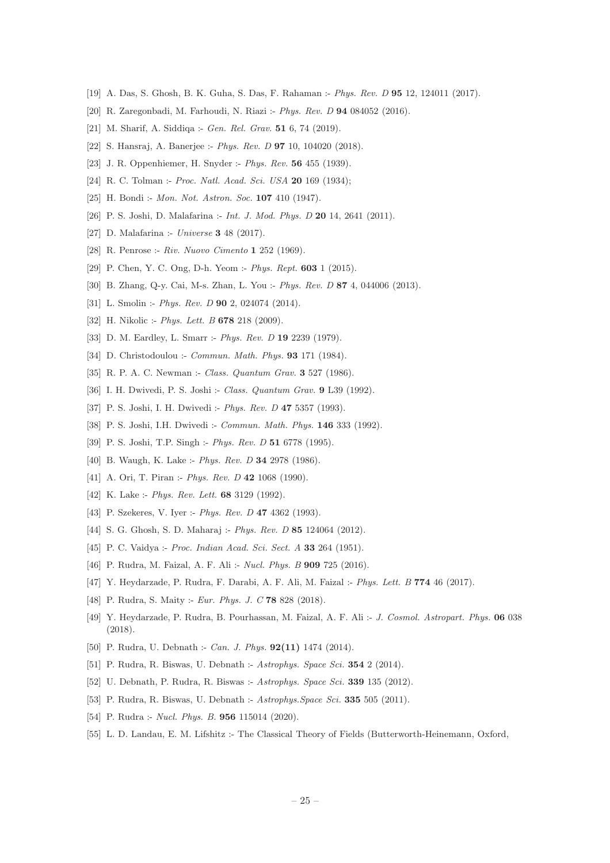- <span id="page-25-0"></span>[19] A. Das, S. Ghosh, B. K. Guha, S. Das, F. Rahaman :- Phys. Rev. D 95 12, 124011 (2017).
- <span id="page-25-1"></span>[20] R. Zaregonbadi, M. Farhoudi, N. Riazi :- Phys. Rev. D 94 084052 (2016).
- <span id="page-25-2"></span>[21] M. Sharif, A. Siddiqa :- Gen. Rel. Grav. **51** 6, 74 (2019).
- <span id="page-25-3"></span>[22] S. Hansraj, A. Banerjee :- Phys. Rev. D 97 10, 104020 (2018).
- <span id="page-25-4"></span>[23] J. R. Oppenhiemer, H. Snyder :- Phys. Rev. 56 455 (1939).
- <span id="page-25-5"></span>[24] R. C. Tolman :- Proc. Natl. Acad. Sci. USA 20 169 (1934);
- <span id="page-25-6"></span>[25] H. Bondi :- *Mon. Not. Astron. Soc.* **107** 410 (1947).
- <span id="page-25-7"></span>[26] P. S. Joshi, D. Malafarina :- *Int. J. Mod. Phys. D* 20 14, 2641 (2011).
- <span id="page-25-8"></span>[27] D. Malafarina :- *Universe* **3** 48 (2017).
- <span id="page-25-9"></span>[28] R. Penrose :- Riv. Nuovo Cimento 1 252 (1969).
- <span id="page-25-10"></span>[29] P. Chen, Y. C. Ong, D-h. Yeom :- Phys. Rept. 603 1 (2015).
- [30] B. Zhang, Q-y. Cai, M-s. Zhan, L. You :- Phys. Rev. D 87 4, 044006 (2013).
- [31] L. Smolin :- *Phys. Rev. D* **90** 2, 024074 (2014).
- <span id="page-25-11"></span>[32] H. Nikolic :- Phys. Lett. B 678 218 (2009).
- <span id="page-25-12"></span>[33] D. M. Eardley, L. Smarr :- Phys. Rev. D 19 2239 (1979).
- [34] D. Christodoulou :- *Commun. Math. Phys.* **93** 171 (1984).
- [35] R. P. A. C. Newman :- Class. Quantum Grav. **3** 527 (1986).
- [36] I. H. Dwivedi, P. S. Joshi :- Class. Quantum Grav. 9 L39 (1992).
- <span id="page-25-18"></span>[37] P. S. Joshi, I. H. Dwivedi :- Phys. Rev. D 47 5357 (1993).
- <span id="page-25-20"></span>[38] P. S. Joshi, I.H. Dwivedi :- *Commun. Math. Phys.* **146** 333 (1992).
- <span id="page-25-19"></span>[39] P. S. Joshi, T.P. Singh :- Phys. Rev. D 51 6778 (1995).
- [40] B. Waugh, K. Lake :- Phys. Rev. D 34 2978 (1986).
- [41] A. Ori, T. Piran :- *Phys. Rev. D* **42** 1068 (1990).
- [42] K. Lake :- *Phys. Rev. Lett.* **68** 3129 (1992).
- [43] P. Szekeres, V. Iyer :- Phys. Rev. D **47** 4362 (1993).
- <span id="page-25-13"></span>[44] S. G. Ghosh, S. D. Maharaj :- Phys. Rev. D 85 124064 (2012).
- <span id="page-25-14"></span>[45] P. C. Vaidya :- Proc. Indian Acad. Sci. Sect. A 33 264 (1951).
- <span id="page-25-15"></span>[46] P. Rudra, M. Faizal, A. F. Ali :- *Nucl. Phys. B* **909** 725 (2016).
- [47] Y. Heydarzade, P. Rudra, F. Darabi, A. F. Ali, M. Faizal :- Phys. Lett. B 774 46 (2017).
- [48] P. Rudra, S. Maity :- *Eur. Phys. J. C* 78 828 (2018).
- [49] Y. Heydarzade, P. Rudra, B. Pourhassan, M. Faizal, A. F. Ali :- J. Cosmol. Astropart. Phys. 06 038 (2018).
- [50] P. Rudra, U. Debnath :- *Can. J. Phys.* **92(11)** 1474 (2014).
- [51] P. Rudra, R. Biswas, U. Debnath :- Astrophys. Space Sci. 354 2 (2014).
- [52] U. Debnath, P. Rudra, R. Biswas :- Astrophys. Space Sci. 339 135 (2012).
- [53] P. Rudra, R. Biswas, U. Debnath :- Astrophys. Space Sci. **335** 505 (2011).
- <span id="page-25-16"></span>[54] P. Rudra :- *Nucl. Phys. B.* **956** 115014 (2020).
- <span id="page-25-17"></span>[55] L. D. Landau, E. M. Lifshitz :- The Classical Theory of Fields (Butterworth-Heinemann, Oxford,